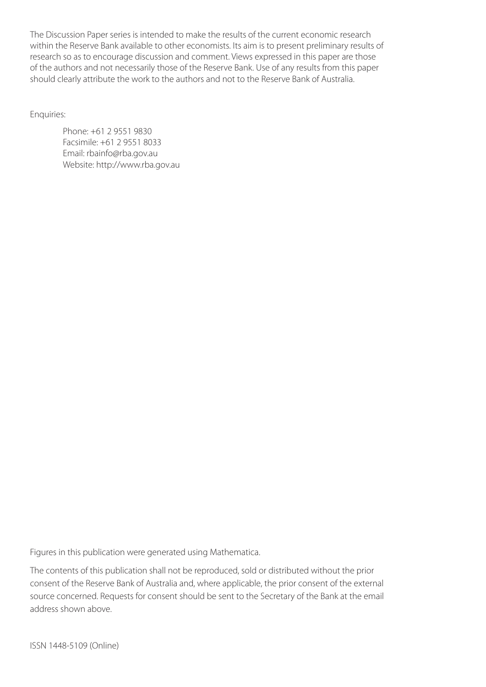The Discussion Paper series is intended to make the results of the current economic research within the Reserve Bank available to other economists. Its aim is to present preliminary results of research so as to encourage discussion and comment. Views expressed in this paper are those of the authors and not necessarily those of the Reserve Bank. Use of any results from this paper should clearly attribute the work to the authors and not to the Reserve Bank of Australia.

Enquiries:

Phone: +61 2 9551 9830 Facsimile: +61 2 9551 8033 Email: rbainfo@rba.gov.au Website: http://www.rba.gov.au

Figures in this publication were generated using Mathematica.

The contents of this publication shall not be reproduced, sold or distributed without the prior consent of the Reserve Bank of Australia and, where applicable, the prior consent of the external source concerned. Requests for consent should be sent to the Secretary of the Bank at the email address shown above.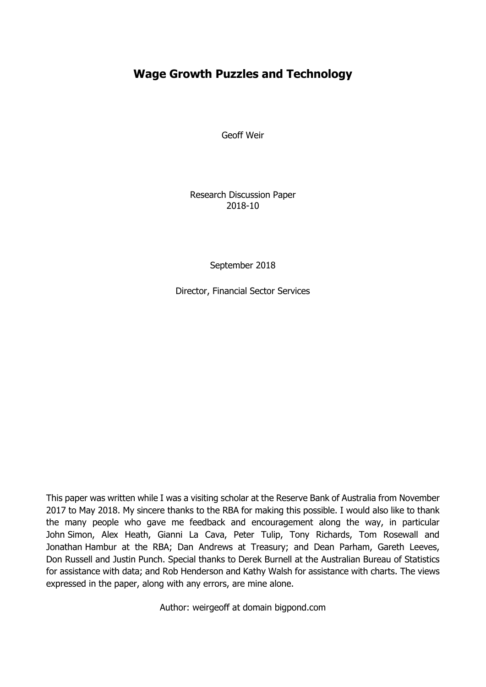# **Wage Growth Puzzles and Technology**

Geoff Weir

Research Discussion Paper 2018-10

September 2018

Director, Financial Sector Services

This paper was written while I was a visiting scholar at the Reserve Bank of Australia from November 2017 to May 2018. My sincere thanks to the RBA for making this possible. I would also like to thank the many people who gave me feedback and encouragement along the way, in particular John Simon, Alex Heath, Gianni La Cava, Peter Tulip, Tony Richards, Tom Rosewall and Jonathan Hambur at the RBA; Dan Andrews at Treasury; and Dean Parham, Gareth Leeves, Don Russell and Justin Punch. Special thanks to Derek Burnell at the Australian Bureau of Statistics for assistance with data; and Rob Henderson and Kathy Walsh for assistance with charts. The views expressed in the paper, along with any errors, are mine alone.

Author: weirgeoff at domain bigpond.com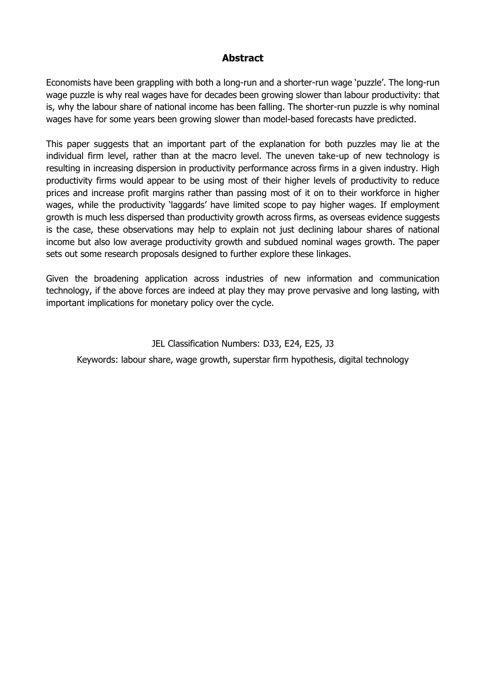## **Abstract**

Economists have been grappling with both a long-run and a shorter-run wage 'puzzle'. The long-run wage puzzle is why real wages have for decades been growing slower than labour productivity: that is, why the labour share of national income has been falling. The shorter-run puzzle is why nominal wages have for some years been growing slower than model-based forecasts have predicted.

This paper suggests that an important part of the explanation for both puzzles may lie at the individual firm level, rather than at the macro level. The uneven take-up of new technology is resulting in increasing dispersion in productivity performance across firms in a given industry. High productivity firms would appear to be using most of their higher levels of productivity to reduce prices and increase profit margins rather than passing most of it on to their workforce in higher wages, while the productivity 'laggards' have limited scope to pay higher wages. If employment growth is much less dispersed than productivity growth across firms, as overseas evidence suggests is the case, these observations may help to explain not just declining labour shares of national income but also low average productivity growth and subdued nominal wages growth. The paper sets out some research proposals designed to further explore these linkages.

Given the broadening application across industries of new information and communication technology, if the above forces are indeed at play they may prove pervasive and long lasting, with important implications for monetary policy over the cycle.

#### JEL Classification Numbers: D33, E24, E25, J3

Keywords: labour share, wage growth, superstar firm hypothesis, digital technology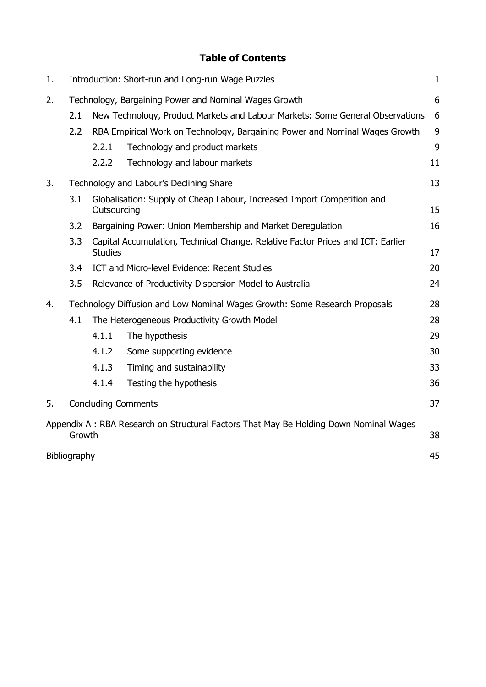# **Table of Contents**

| 1. |                                                                                                 | Introduction: Short-run and Long-run Wage Puzzles<br>$\mathbf{1}$                                       |                                |    |
|----|-------------------------------------------------------------------------------------------------|---------------------------------------------------------------------------------------------------------|--------------------------------|----|
| 2. | Technology, Bargaining Power and Nominal Wages Growth                                           |                                                                                                         |                                | 6  |
|    | 2.1<br>New Technology, Product Markets and Labour Markets: Some General Observations            |                                                                                                         |                                | 6  |
|    | 2.2                                                                                             | RBA Empirical Work on Technology, Bargaining Power and Nominal Wages Growth                             |                                |    |
|    |                                                                                                 | 2.2.1                                                                                                   | Technology and product markets | 9  |
|    |                                                                                                 | 2.2.2                                                                                                   | Technology and labour markets  | 11 |
| 3. | Technology and Labour's Declining Share                                                         |                                                                                                         |                                | 13 |
|    | 3.1                                                                                             | Globalisation: Supply of Cheap Labour, Increased Import Competition and<br>Outsourcing                  |                                |    |
|    | 3.2                                                                                             | Bargaining Power: Union Membership and Market Deregulation                                              |                                | 16 |
|    | 3.3                                                                                             | Capital Accumulation, Technical Change, Relative Factor Prices and ICT: Earlier<br><b>Studies</b><br>17 |                                |    |
|    | 3.4                                                                                             | ICT and Micro-level Evidence: Recent Studies                                                            |                                | 20 |
|    | 3.5                                                                                             | 24<br>Relevance of Productivity Dispersion Model to Australia                                           |                                |    |
| 4. | Technology Diffusion and Low Nominal Wages Growth: Some Research Proposals                      |                                                                                                         |                                | 28 |
|    | 4.1                                                                                             | The Heterogeneous Productivity Growth Model                                                             |                                |    |
|    |                                                                                                 | 4.1.1                                                                                                   | The hypothesis                 | 29 |
|    |                                                                                                 | 4.1.2                                                                                                   | Some supporting evidence       | 30 |
|    |                                                                                                 | 4.1.3                                                                                                   | Timing and sustainability      | 33 |
|    |                                                                                                 | 4.1.4                                                                                                   | Testing the hypothesis         | 36 |
| 5. |                                                                                                 | 37<br><b>Concluding Comments</b>                                                                        |                                |    |
|    | Appendix A: RBA Research on Structural Factors That May Be Holding Down Nominal Wages<br>Growth |                                                                                                         |                                |    |
|    | 45<br>Bibliography                                                                              |                                                                                                         |                                |    |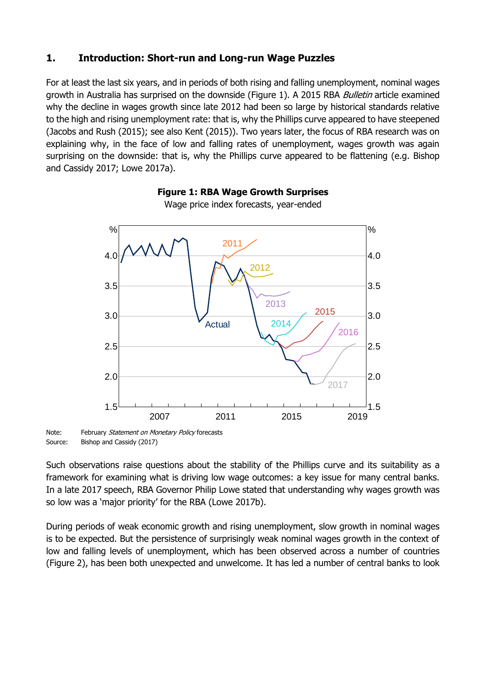## <span id="page-6-0"></span>**1. Introduction: Short-run and Long-run Wage Puzzles**

For at least the last six years, and in periods of both rising and falling unemployment, nominal wages growth in Australia has surprised on the downside (Figure 1). A 2015 RBA *Bulletin* article examined why the decline in wages growth since late 2012 had been so large by historical standards relative to the high and rising unemployment rate: that is, why the Phillips curve appeared to have steepened (Jacobs and Rush (2015); see also Kent (2015)). Two years later, the focus of RBA research was on explaining why, in the face of low and falling rates of unemployment, wages growth was again surprising on the downside: that is, why the Phillips curve appeared to be flattening (e.g. Bishop and Cassidy 2017; Lowe 2017a).

#### 2007 2011 2015 2019 1.5 2.0 2.5 3.0 3.5 4.0  $\frac{0}{0}$ ⊥<sup>\_\_\_\_\_\_</sup>1.5<br>2019 2.0 2.5 3.0 3.5 4.0 % Actual 2011 2012 2013 2014 2015 2016 2017

#### **Figure 1: RBA Wage Growth Surprises**

Wage price index forecasts, year-ended

Note: February Statement on Monetary Policy forecasts Source: Bishop and Cassidy (2017)

Such observations raise questions about the stability of the Phillips curve and its suitability as a framework for examining what is driving low wage outcomes: a key issue for many central banks. In a late 2017 speech, RBA Governor Philip Lowe stated that understanding why wages growth was so low was a 'major priority' for the RBA (Lowe 2017b).

During periods of weak economic growth and rising unemployment, slow growth in nominal wages is to be expected. But the persistence of surprisingly weak nominal wages growth in the context of low and falling levels of unemployment, which has been observed across a number of countries (Figure 2), has been both unexpected and unwelcome. It has led a number of central banks to look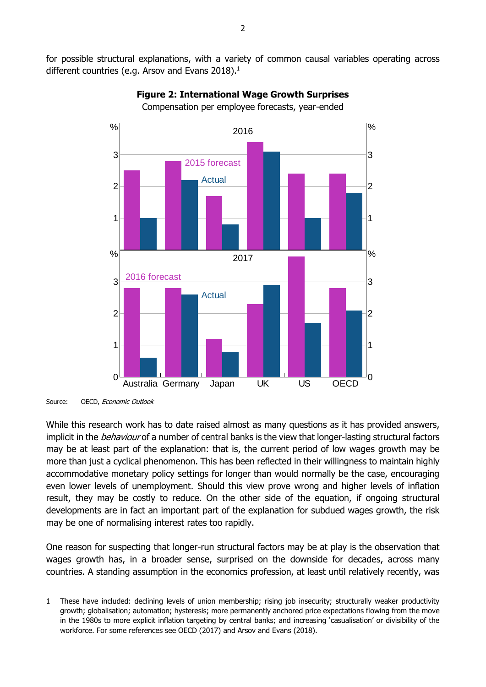for possible structural explanations, with a variety of common causal variables operating across different countries (e.g. Arsov and Evans 2018).<sup>1</sup>



#### **Figure 2: International Wage Growth Surprises** Compensation per employee forecasts, year-ended

-

While this research work has to date raised almost as many questions as it has provided answers, implicit in the *behaviour* of a number of central banks is the view that longer-lasting structural factors may be at least part of the explanation: that is, the current period of low wages growth may be more than just a cyclical phenomenon. This has been reflected in their willingness to maintain highly accommodative monetary policy settings for longer than would normally be the case, encouraging even lower levels of unemployment. Should this view prove wrong and higher levels of inflation result, they may be costly to reduce. On the other side of the equation, if ongoing structural developments are in fact an important part of the explanation for subdued wages growth, the risk may be one of normalising interest rates too rapidly.

One reason for suspecting that longer-run structural factors may be at play is the observation that wages growth has, in a broader sense, surprised on the downside for decades, across many countries. A standing assumption in the economics profession, at least until relatively recently, was

Source: OECD, Economic Outlook

<sup>1</sup> These have included: declining levels of union membership; rising job insecurity; structurally weaker productivity growth; globalisation; automation; hysteresis; more permanently anchored price expectations flowing from the move in the 1980s to more explicit inflation targeting by central banks; and increasing 'casualisation' or divisibility of the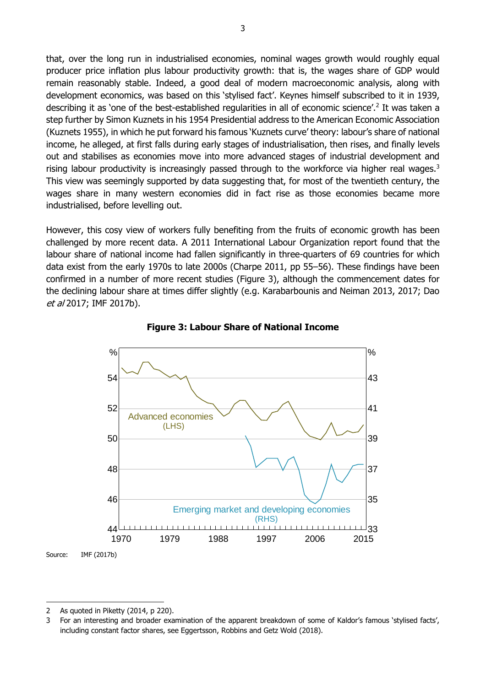that, over the long run in industrialised economies, nominal wages growth would roughly equal producer price inflation plus labour productivity growth: that is, the wages share of GDP would remain reasonably stable. Indeed, a good deal of modern macroeconomic analysis, along with development economics, was based on this 'stylised fact'. Keynes himself subscribed to it in 1939, describing it as 'one of the best-established regularities in all of economic science'.<sup>2</sup> It was taken a step further by Simon Kuznets in his 1954 Presidential address to the American Economic Association (Kuznets 1955), in which he put forward his famous 'Kuznets curve' theory: labour's share of national income, he alleged, at first falls during early stages of industrialisation, then rises, and finally levels out and stabilises as economies move into more advanced stages of industrial development and rising labour productivity is increasingly passed through to the workforce via higher real wages.<sup>3</sup> This view was seemingly supported by data suggesting that, for most of the twentieth century, the wages share in many western economies did in fact rise as those economies became more industrialised, before levelling out.

However, this cosy view of workers fully benefiting from the fruits of economic growth has been challenged by more recent data. A 2011 International Labour Organization report found that the labour share of national income had fallen significantly in three-quarters of 69 countries for which data exist from the early 1970s to late 2000s (Charpe 2011, pp 55–56). These findings have been confirmed in a number of more recent studies (Figure 3), although the commencement dates for the declining labour share at times differ slightly (e.g. Karabarbounis and Neiman 2013, 2017; Dao et al 2017; IMF 2017b).





Source: IMF (2017b)

<sup>2</sup> As quoted in Piketty (2014, p 220).

<sup>3</sup> For an interesting and broader examination of the apparent breakdown of some of Kaldor's famous 'stylised facts', including constant factor shares, see Eggertsson, Robbins and Getz Wold (2018).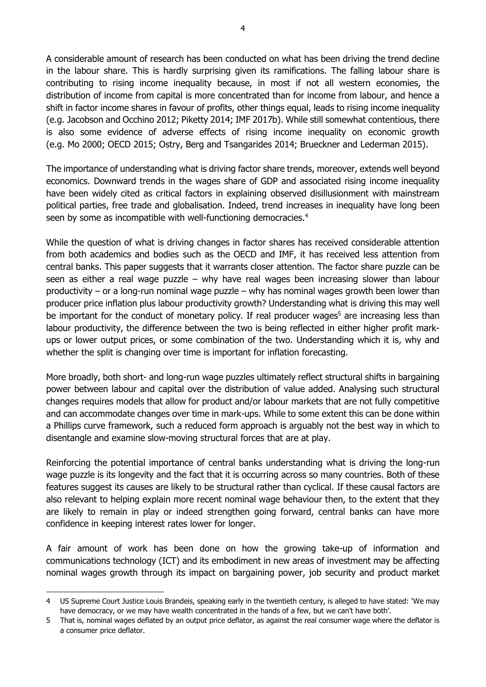A considerable amount of research has been conducted on what has been driving the trend decline in the labour share. This is hardly surprising given its ramifications. The falling labour share is contributing to rising income inequality because, in most if not all western economies, the distribution of income from capital is more concentrated than for income from labour, and hence a shift in factor income shares in favour of profits, other things equal, leads to rising income inequality (e.g. Jacobson and Occhino 2012; Piketty 2014; IMF 2017b). While still somewhat contentious, there is also some evidence of adverse effects of rising income inequality on economic growth (e.g. Mo 2000; OECD 2015; Ostry, Berg and Tsangarides 2014; Brueckner and Lederman 2015).

The importance of understanding what is driving factor share trends, moreover, extends well beyond economics. Downward trends in the wages share of GDP and associated rising income inequality have been widely cited as critical factors in explaining observed disillusionment with mainstream political parties, free trade and globalisation. Indeed, trend increases in inequality have long been seen by some as incompatible with well-functioning democracies.<sup>4</sup>

While the question of what is driving changes in factor shares has received considerable attention from both academics and bodies such as the OECD and IMF, it has received less attention from central banks. This paper suggests that it warrants closer attention. The factor share puzzle can be seen as either a real wage puzzle – why have real wages been increasing slower than labour productivity – or a long-run nominal wage puzzle – why has nominal wages growth been lower than producer price inflation plus labour productivity growth? Understanding what is driving this may well be important for the conduct of monetary policy. If real producer wages<sup>5</sup> are increasing less than labour productivity, the difference between the two is being reflected in either higher profit markups or lower output prices, or some combination of the two. Understanding which it is, why and whether the split is changing over time is important for inflation forecasting.

More broadly, both short- and long-run wage puzzles ultimately reflect structural shifts in bargaining power between labour and capital over the distribution of value added. Analysing such structural changes requires models that allow for product and/or labour markets that are not fully competitive and can accommodate changes over time in mark-ups. While to some extent this can be done within a Phillips curve framework, such a reduced form approach is arguably not the best way in which to disentangle and examine slow-moving structural forces that are at play.

Reinforcing the potential importance of central banks understanding what is driving the long-run wage puzzle is its longevity and the fact that it is occurring across so many countries. Both of these features suggest its causes are likely to be structural rather than cyclical. If these causal factors are also relevant to helping explain more recent nominal wage behaviour then, to the extent that they are likely to remain in play or indeed strengthen going forward, central banks can have more confidence in keeping interest rates lower for longer.

A fair amount of work has been done on how the growing take-up of information and communications technology (ICT) and its embodiment in new areas of investment may be affecting nominal wages growth through its impact on bargaining power, job security and product market

<sup>4</sup> US Supreme Court Justice Louis Brandeis, speaking early in the twentieth century, is alleged to have stated: 'We may have democracy, or we may have wealth concentrated in the hands of a few, but we can't have both'.

<sup>5</sup> That is, nominal wages deflated by an output price deflator, as against the real consumer wage where the deflator is a consumer price deflator.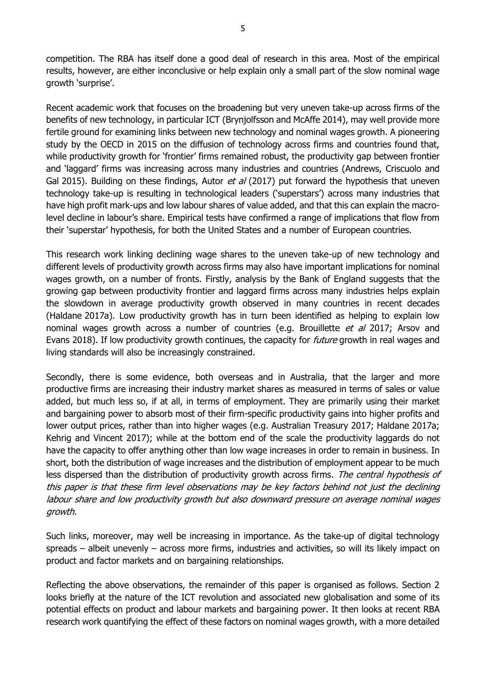competition. The RBA has itself done a good deal of research in this area. Most of the empirical results, however, are either inconclusive or help explain only a small part of the slow nominal wage growth 'surprise'.

Recent academic work that focuses on the broadening but very uneven take-up across firms of the benefits of new technology, in particular ICT (Brynjolfsson and McAffe 2014), may well provide more fertile ground for examining links between new technology and nominal wages growth. A pioneering study by the OECD in 2015 on the diffusion of technology across firms and countries found that, while productivity growth for 'frontier' firms remained robust, the productivity gap between frontier and 'laggard' firms was increasing across many industries and countries (Andrews, Criscuolo and Gal 2015). Building on these findings, Autor *et al* (2017) put forward the hypothesis that uneven technology take-up is resulting in technological leaders ('superstars') across many industries that have high profit mark-ups and low labour shares of value added, and that this can explain the macrolevel decline in labour's share. Empirical tests have confirmed a range of implications that flow from their 'superstar' hypothesis, for both the United States and a number of European countries.

This research work linking declining wage shares to the uneven take-up of new technology and different levels of productivity growth across firms may also have important implications for nominal wages growth, on a number of fronts. Firstly, analysis by the Bank of England suggests that the growing gap between productivity frontier and laggard firms across many industries helps explain the slowdown in average productivity growth observed in many countries in recent decades (Haldane 2017a). Low productivity growth has in turn been identified as helping to explain low nominal wages growth across a number of countries (e.g. Brouillette et al 2017; Arsov and Evans 2018). If low productivity growth continues, the capacity for *future* growth in real wages and living standards will also be increasingly constrained.

Secondly, there is some evidence, both overseas and in Australia, that the larger and more productive firms are increasing their industry market shares as measured in terms of sales or value added, but much less so, if at all, in terms of employment. They are primarily using their market and bargaining power to absorb most of their firm-specific productivity gains into higher profits and lower output prices, rather than into higher wages (e.g. Australian Treasury 2017; Haldane 2017a; Kehrig and Vincent 2017); while at the bottom end of the scale the productivity laggards do not have the capacity to offer anything other than low wage increases in order to remain in business. In short, both the distribution of wage increases and the distribution of employment appear to be much less dispersed than the distribution of productivity growth across firms. The central hypothesis of this paper is that these firm level observations may be key factors behind not just the declining labour share and low productivity growth but also downward pressure on average nominal wages growth.

Such links, moreover, may well be increasing in importance. As the take-up of digital technology spreads – albeit unevenly – across more firms, industries and activities, so will its likely impact on product and factor markets and on bargaining relationships.

Reflecting the above observations, the remainder of this paper is organised as follows. Section 2 looks briefly at the nature of the ICT revolution and associated new globalisation and some of its potential effects on product and labour markets and bargaining power. It then looks at recent RBA research work quantifying the effect of these factors on nominal wages growth, with a more detailed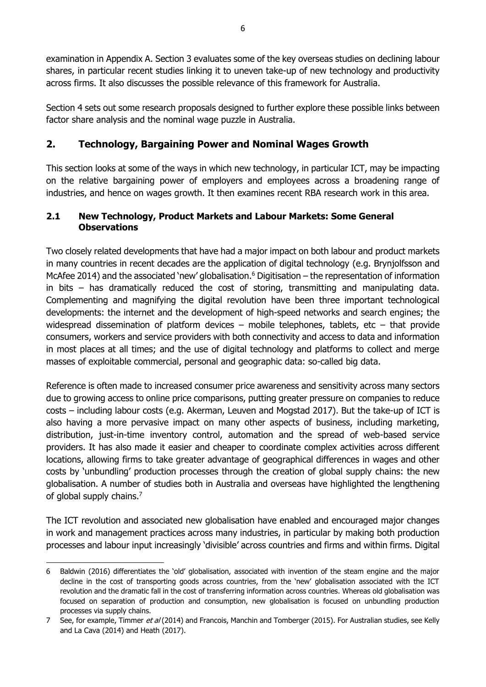examination in Appendix A. Section 3 evaluates some of the key overseas studies on declining labour shares, in particular recent studies linking it to uneven take-up of new technology and productivity across firms. It also discusses the possible relevance of this framework for Australia.

Section 4 sets out some research proposals designed to further explore these possible links between factor share analysis and the nominal wage puzzle in Australia.

# <span id="page-11-0"></span>**2. Technology, Bargaining Power and Nominal Wages Growth**

This section looks at some of the ways in which new technology, in particular ICT, may be impacting on the relative bargaining power of employers and employees across a broadening range of industries, and hence on wages growth. It then examines recent RBA research work in this area.

## <span id="page-11-1"></span>**2.1 New Technology, Product Markets and Labour Markets: Some General Observations**

Two closely related developments that have had a major impact on both labour and product markets in many countries in recent decades are the application of digital technology (e.g. Brynjolfsson and McAfee 2014) and the associated 'new' globalisation.<sup>6</sup> Digitisation – the representation of information in bits – has dramatically reduced the cost of storing, transmitting and manipulating data. Complementing and magnifying the digital revolution have been three important technological developments: the internet and the development of high-speed networks and search engines; the widespread dissemination of platform devices – mobile telephones, tablets, etc – that provide consumers, workers and service providers with both connectivity and access to data and information in most places at all times; and the use of digital technology and platforms to collect and merge masses of exploitable commercial, personal and geographic data: so-called big data.

Reference is often made to increased consumer price awareness and sensitivity across many sectors due to growing access to online price comparisons, putting greater pressure on companies to reduce costs – including labour costs (e.g. Akerman, Leuven and Mogstad 2017). But the take-up of ICT is also having a more pervasive impact on many other aspects of business, including marketing, distribution, just-in-time inventory control, automation and the spread of web-based service providers. It has also made it easier and cheaper to coordinate complex activities across different locations, allowing firms to take greater advantage of geographical differences in wages and other costs by 'unbundling' production processes through the creation of global supply chains: the new globalisation. A number of studies both in Australia and overseas have highlighted the lengthening of global supply chains.<sup>7</sup>

The ICT revolution and associated new globalisation have enabled and encouraged major changes in work and management practices across many industries, in particular by making both production processes and labour input increasingly 'divisible' across countries and firms and within firms. Digital

<sup>-</sup>6 Baldwin (2016) differentiates the 'old' globalisation, associated with invention of the steam engine and the major decline in the cost of transporting goods across countries, from the 'new' globalisation associated with the ICT revolution and the dramatic fall in the cost of transferring information across countries. Whereas old globalisation was focused on separation of production and consumption, new globalisation is focused on unbundling production processes via supply chains.

<sup>7</sup> See, for example, Timmer et al (2014) and Francois, Manchin and Tomberger (2015). For Australian studies, see Kelly and La Cava (2014) and Heath (2017).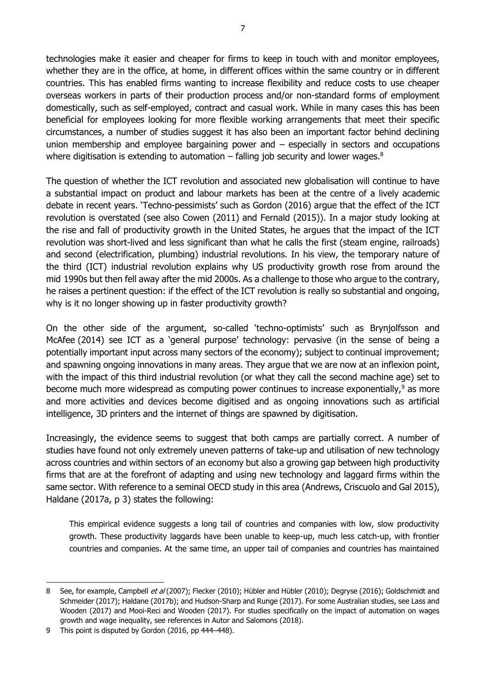technologies make it easier and cheaper for firms to keep in touch with and monitor employees, whether they are in the office, at home, in different offices within the same country or in different countries. This has enabled firms wanting to increase flexibility and reduce costs to use cheaper overseas workers in parts of their production process and/or non-standard forms of employment domestically, such as self-employed, contract and casual work. While in many cases this has been beneficial for employees looking for more flexible working arrangements that meet their specific circumstances, a number of studies suggest it has also been an important factor behind declining union membership and employee bargaining power and  $-$  especially in sectors and occupations where digitisation is extending to automation – falling job security and lower wages. $8$ 

The question of whether the ICT revolution and associated new globalisation will continue to have a substantial impact on product and labour markets has been at the centre of a lively academic debate in recent years. 'Techno-pessimists' such as Gordon (2016) argue that the effect of the ICT revolution is overstated (see also Cowen (2011) and Fernald (2015)). In a major study looking at the rise and fall of productivity growth in the United States, he argues that the impact of the ICT revolution was short-lived and less significant than what he calls the first (steam engine, railroads) and second (electrification, plumbing) industrial revolutions. In his view, the temporary nature of the third (ICT) industrial revolution explains why US productivity growth rose from around the mid 1990s but then fell away after the mid 2000s. As a challenge to those who argue to the contrary, he raises a pertinent question: if the effect of the ICT revolution is really so substantial and ongoing, why is it no longer showing up in faster productivity growth?

On the other side of the argument, so-called 'techno-optimists' such as Brynjolfsson and McAfee (2014) see ICT as a 'general purpose' technology: pervasive (in the sense of being a potentially important input across many sectors of the economy); subject to continual improvement; and spawning ongoing innovations in many areas. They argue that we are now at an inflexion point, with the impact of this third industrial revolution (or what they call the second machine age) set to become much more widespread as computing power continues to increase exponentially, $9$  as more and more activities and devices become digitised and as ongoing innovations such as artificial intelligence, 3D printers and the internet of things are spawned by digitisation.

Increasingly, the evidence seems to suggest that both camps are partially correct. A number of studies have found not only extremely uneven patterns of take-up and utilisation of new technology across countries and within sectors of an economy but also a growing gap between high productivity firms that are at the forefront of adapting and using new technology and laggard firms within the same sector. With reference to a seminal OECD study in this area (Andrews, Criscuolo and Gal 2015), Haldane (2017a, p 3) states the following:

This empirical evidence suggests a long tail of countries and companies with low, slow productivity growth. These productivity laggards have been unable to keep-up, much less catch-up, with frontier countries and companies. At the same time, an upper tail of companies and countries has maintained

<sup>8</sup> See, for example, Campbell et al (2007); Flecker (2010); Hübler and Hübler (2010); Degryse (2016); Goldschmidt and Schmeider (2017); Haldane (2017b); and Hudson-Sharp and Runge (2017). For some Australian studies, see Lass and Wooden (2017) and Mooi-Reci and Wooden (2017). For studies specifically on the impact of automation on wages growth and wage inequality, see references in Autor and Salomons (2018).

<sup>9</sup> This point is disputed by Gordon (2016, pp 444-448).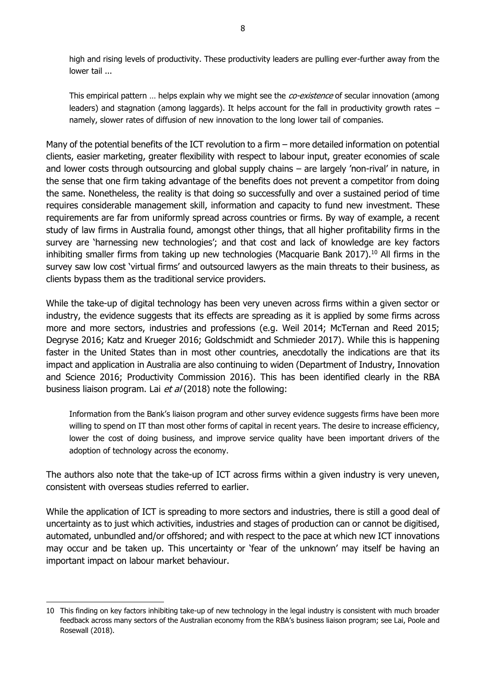high and rising levels of productivity. These productivity leaders are pulling ever-further away from the lower tail ...

This empirical pattern ... helps explain why we might see the *co-existence* of secular innovation (among leaders) and stagnation (among laggards). It helps account for the fall in productivity growth rates – namely, slower rates of diffusion of new innovation to the long lower tail of companies.

Many of the potential benefits of the ICT revolution to a firm – more detailed information on potential clients, easier marketing, greater flexibility with respect to labour input, greater economies of scale and lower costs through outsourcing and global supply chains – are largely 'non-rival' in nature, in the sense that one firm taking advantage of the benefits does not prevent a competitor from doing the same. Nonetheless, the reality is that doing so successfully and over a sustained period of time requires considerable management skill, information and capacity to fund new investment. These requirements are far from uniformly spread across countries or firms. By way of example, a recent study of law firms in Australia found, amongst other things, that all higher profitability firms in the survey are 'harnessing new technologies'; and that cost and lack of knowledge are key factors inhibiting smaller firms from taking up new technologies (Macquarie Bank 2017). <sup>10</sup> All firms in the survey saw low cost 'virtual firms' and outsourced lawyers as the main threats to their business, as clients bypass them as the traditional service providers.

While the take-up of digital technology has been very uneven across firms within a given sector or industry, the evidence suggests that its effects are spreading as it is applied by some firms across more and more sectors, industries and professions (e.g. Weil 2014; McTernan and Reed 2015; Degryse 2016; Katz and Krueger 2016; Goldschmidt and Schmieder 2017). While this is happening faster in the United States than in most other countries, anecdotally the indications are that its impact and application in Australia are also continuing to widen (Department of Industry, Innovation and Science 2016; Productivity Commission 2016). This has been identified clearly in the RBA business liaison program. Lai et al (2018) note the following:

Information from the Bank's liaison program and other survey evidence suggests firms have been more willing to spend on IT than most other forms of capital in recent years. The desire to increase efficiency, lower the cost of doing business, and improve service quality have been important drivers of the adoption of technology across the economy.

The authors also note that the take-up of ICT across firms within a given industry is very uneven, consistent with overseas studies referred to earlier.

While the application of ICT is spreading to more sectors and industries, there is still a good deal of uncertainty as to just which activities, industries and stages of production can or cannot be digitised, automated, unbundled and/or offshored; and with respect to the pace at which new ICT innovations may occur and be taken up. This uncertainty or 'fear of the unknown' may itself be having an important impact on labour market behaviour.

<sup>10</sup> This finding on key factors inhibiting take-up of new technology in the legal industry is consistent with much broader feedback across many sectors of the Australian economy from the RBA's business liaison program; see Lai, Poole and Rosewall (2018).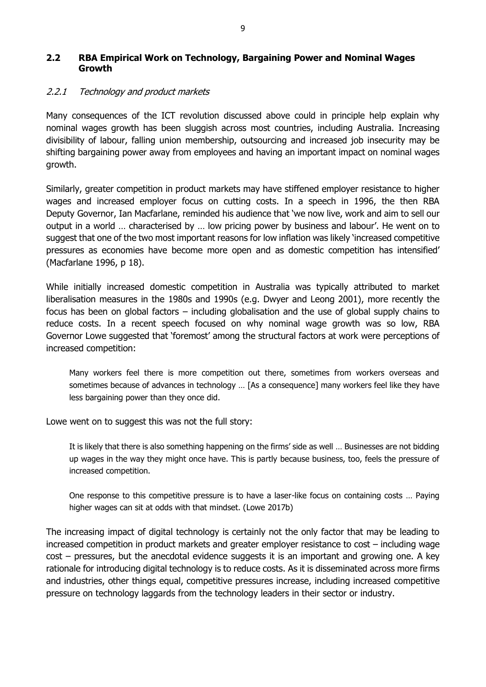#### <span id="page-14-0"></span>**2.2 RBA Empirical Work on Technology, Bargaining Power and Nominal Wages Growth**

## <span id="page-14-1"></span>2.2.1 Technology and product markets

Many consequences of the ICT revolution discussed above could in principle help explain why nominal wages growth has been sluggish across most countries, including Australia. Increasing divisibility of labour, falling union membership, outsourcing and increased job insecurity may be shifting bargaining power away from employees and having an important impact on nominal wages growth.

Similarly, greater competition in product markets may have stiffened employer resistance to higher wages and increased employer focus on cutting costs. In a speech in 1996, the then RBA Deputy Governor, Ian Macfarlane, reminded his audience that 'we now live, work and aim to sell our output in a world … characterised by … low pricing power by business and labour'. He went on to suggest that one of the two most important reasons for low inflation was likely 'increased competitive pressures as economies have become more open and as domestic competition has intensified' (Macfarlane 1996, p 18).

While initially increased domestic competition in Australia was typically attributed to market liberalisation measures in the 1980s and 1990s (e.g. Dwyer and Leong 2001), more recently the focus has been on global factors – including globalisation and the use of global supply chains to reduce costs. In a recent speech focused on why nominal wage growth was so low, RBA Governor Lowe suggested that 'foremost' among the structural factors at work were perceptions of increased competition:

Many workers feel there is more competition out there, sometimes from workers overseas and sometimes because of advances in technology … [As a consequence] many workers feel like they have less bargaining power than they once did.

Lowe went on to suggest this was not the full story:

It is likely that there is also something happening on the firms' side as well … Businesses are not bidding up wages in the way they might once have. This is partly because business, too, feels the pressure of increased competition.

One response to this competitive pressure is to have a laser-like focus on containing costs … Paying higher wages can sit at odds with that mindset. (Lowe 2017b)

The increasing impact of digital technology is certainly not the only factor that may be leading to increased competition in product markets and greater employer resistance to cost – including wage cost – pressures, but the anecdotal evidence suggests it is an important and growing one. A key rationale for introducing digital technology is to reduce costs. As it is disseminated across more firms and industries, other things equal, competitive pressures increase, including increased competitive pressure on technology laggards from the technology leaders in their sector or industry.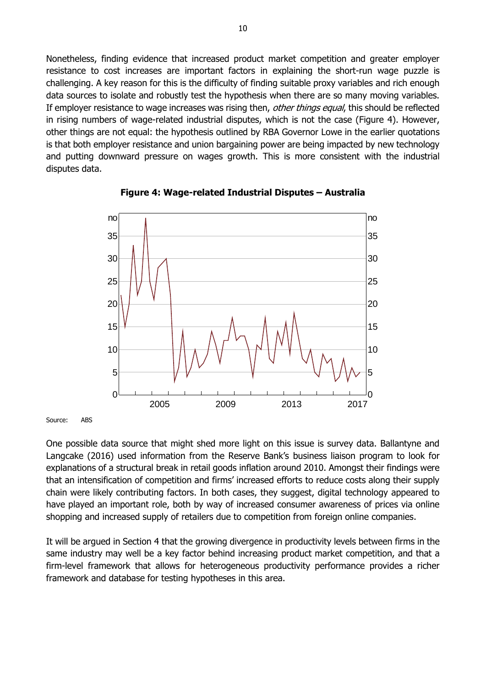Nonetheless, finding evidence that increased product market competition and greater employer resistance to cost increases are important factors in explaining the short-run wage puzzle is challenging. A key reason for this is the difficulty of finding suitable proxy variables and rich enough data sources to isolate and robustly test the hypothesis when there are so many moving variables. If employer resistance to wage increases was rising then, other things equal, this should be reflected in rising numbers of wage-related industrial disputes, which is not the case (Figure 4). However, other things are not equal: the hypothesis outlined by RBA Governor Lowe in the earlier quotations is that both employer resistance and union bargaining power are being impacted by new technology and putting downward pressure on wages growth. This is more consistent with the industrial disputes data.



#### **Figure 4: Wage-related Industrial Disputes – Australia**

Source: ABS

One possible data source that might shed more light on this issue is survey data. Ballantyne and Langcake (2016) used information from the Reserve Bank's business liaison program to look for explanations of a structural break in retail goods inflation around 2010. Amongst their findings were that an intensification of competition and firms' increased efforts to reduce costs along their supply chain were likely contributing factors. In both cases, they suggest, digital technology appeared to have played an important role, both by way of increased consumer awareness of prices via online shopping and increased supply of retailers due to competition from foreign online companies.

It will be argued in Section 4 that the growing divergence in productivity levels between firms in the same industry may well be a key factor behind increasing product market competition, and that a firm-level framework that allows for heterogeneous productivity performance provides a richer framework and database for testing hypotheses in this area.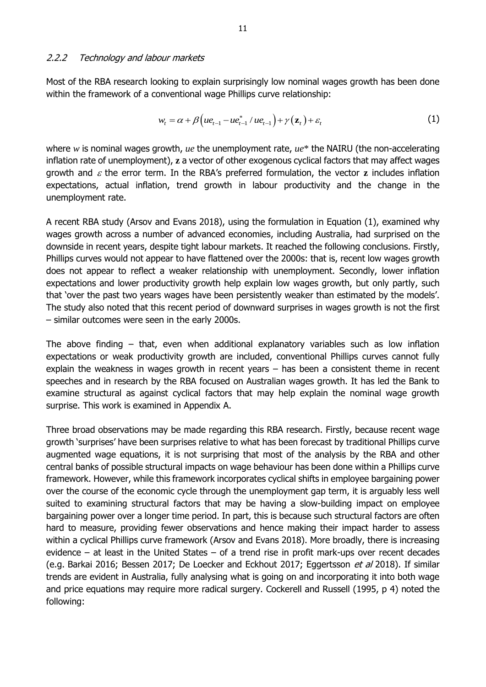<span id="page-16-0"></span>Most of the RBA research looking to explain surprisingly low nominal wages growth has been done within the framework of a conventional wage Phillips curve relationship:

$$
w_t = \alpha + \beta \Big( u e_{t-1} - u e_{t-1}^* / u e_{t-1} \Big) + \gamma \Big( \mathbf{z}_t \Big) + \varepsilon_t \tag{1}
$$

where *w* is nominal wages growth, *ue* the unemployment rate, *ue*\* the NAIRU (the non-accelerating inflation rate of unemployment), **z** a vector of other exogenous cyclical factors that may affect wages growth and  $\varepsilon$  the error term. In the RBA's preferred formulation, the vector  $\mathbf{z}$  includes inflation expectations, actual inflation, trend growth in labour productivity and the change in the unemployment rate.

A recent RBA study (Arsov and Evans 2018), using the formulation in Equation (1), examined why wages growth across a number of advanced economies, including Australia, had surprised on the downside in recent years, despite tight labour markets. It reached the following conclusions. Firstly, Phillips curves would not appear to have flattened over the 2000s: that is, recent low wages growth does not appear to reflect a weaker relationship with unemployment. Secondly, lower inflation expectations and lower productivity growth help explain low wages growth, but only partly, such that 'over the past two years wages have been persistently weaker than estimated by the models'. The study also noted that this recent period of downward surprises in wages growth is not the first – similar outcomes were seen in the early 2000s.

The above finding – that, even when additional explanatory variables such as low inflation expectations or weak productivity growth are included, conventional Phillips curves cannot fully explain the weakness in wages growth in recent years – has been a consistent theme in recent speeches and in research by the RBA focused on Australian wages growth. It has led the Bank to examine structural as against cyclical factors that may help explain the nominal wage growth surprise. This work is examined in Appendix A.

Three broad observations may be made regarding this RBA research. Firstly, because recent wage growth 'surprises' have been surprises relative to what has been forecast by traditional Phillips curve augmented wage equations, it is not surprising that most of the analysis by the RBA and other central banks of possible structural impacts on wage behaviour has been done within a Phillips curve framework. However, while this framework incorporates cyclical shifts in employee bargaining power over the course of the economic cycle through the unemployment gap term, it is arguably less well suited to examining structural factors that may be having a slow-building impact on employee bargaining power over a longer time period. In part, this is because such structural factors are often hard to measure, providing fewer observations and hence making their impact harder to assess within a cyclical Phillips curve framework (Arsov and Evans 2018). More broadly, there is increasing evidence – at least in the United States – of a trend rise in profit mark-ups over recent decades (e.g. Barkai 2016; Bessen 2017; De Loecker and Eckhout 2017; Eggertsson et al 2018). If similar trends are evident in Australia, fully analysing what is going on and incorporating it into both wage and price equations may require more radical surgery. Cockerell and Russell (1995, p 4) noted the following: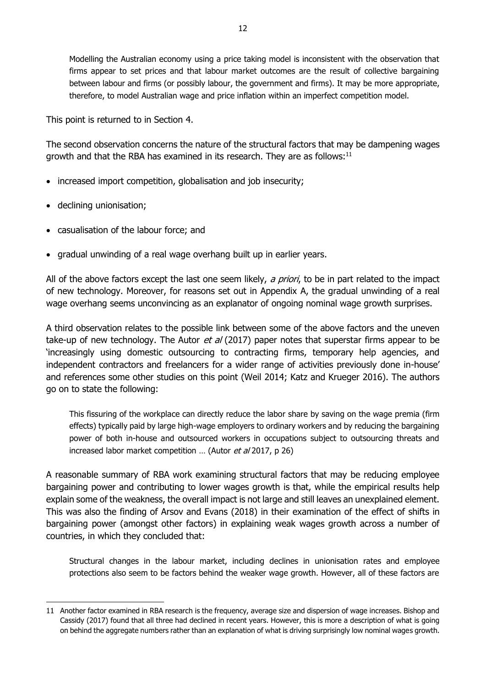Modelling the Australian economy using a price taking model is inconsistent with the observation that firms appear to set prices and that labour market outcomes are the result of collective bargaining between labour and firms (or possibly labour, the government and firms). It may be more appropriate, therefore, to model Australian wage and price inflation within an imperfect competition model.

This point is returned to in Section 4.

The second observation concerns the nature of the structural factors that may be dampening wages growth and that the RBA has examined in its research. They are as follows:<sup>11</sup>

- increased import competition, globalisation and job insecurity;
- declining unionisation;

-

- casualisation of the labour force; and
- gradual unwinding of a real wage overhang built up in earlier years.

All of the above factors except the last one seem likely, a priori, to be in part related to the impact of new technology. Moreover, for reasons set out in Appendix A, the gradual unwinding of a real wage overhang seems unconvincing as an explanator of ongoing nominal wage growth surprises.

A third observation relates to the possible link between some of the above factors and the uneven take-up of new technology. The Autor et al (2017) paper notes that superstar firms appear to be 'increasingly using domestic outsourcing to contracting firms, temporary help agencies, and independent contractors and freelancers for a wider range of activities previously done in-house' and references some other studies on this point (Weil 2014; Katz and Krueger 2016). The authors go on to state the following:

This fissuring of the workplace can directly reduce the labor share by saving on the wage premia (firm effects) typically paid by large high-wage employers to ordinary workers and by reducing the bargaining power of both in-house and outsourced workers in occupations subject to outsourcing threats and increased labor market competition ... (Autor et al 2017, p 26)

A reasonable summary of RBA work examining structural factors that may be reducing employee bargaining power and contributing to lower wages growth is that, while the empirical results help explain some of the weakness, the overall impact is not large and still leaves an unexplained element. This was also the finding of Arsov and Evans (2018) in their examination of the effect of shifts in bargaining power (amongst other factors) in explaining weak wages growth across a number of countries, in which they concluded that:

Structural changes in the labour market, including declines in unionisation rates and employee protections also seem to be factors behind the weaker wage growth. However, all of these factors are

<sup>11</sup> Another factor examined in RBA research is the frequency, average size and dispersion of wage increases. Bishop and Cassidy (2017) found that all three had declined in recent years. However, this is more a description of what is going on behind the aggregate numbers rather than an explanation of what is driving surprisingly low nominal wages growth.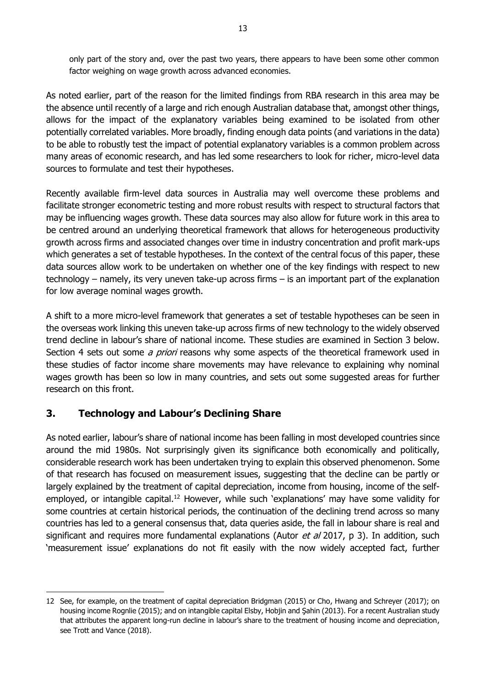only part of the story and, over the past two years, there appears to have been some other common factor weighing on wage growth across advanced economies.

As noted earlier, part of the reason for the limited findings from RBA research in this area may be the absence until recently of a large and rich enough Australian database that, amongst other things, allows for the impact of the explanatory variables being examined to be isolated from other potentially correlated variables. More broadly, finding enough data points (and variations in the data) to be able to robustly test the impact of potential explanatory variables is a common problem across many areas of economic research, and has led some researchers to look for richer, micro-level data sources to formulate and test their hypotheses.

Recently available firm-level data sources in Australia may well overcome these problems and facilitate stronger econometric testing and more robust results with respect to structural factors that may be influencing wages growth. These data sources may also allow for future work in this area to be centred around an underlying theoretical framework that allows for heterogeneous productivity growth across firms and associated changes over time in industry concentration and profit mark-ups which generates a set of testable hypotheses. In the context of the central focus of this paper, these data sources allow work to be undertaken on whether one of the key findings with respect to new technology – namely, its very uneven take-up across firms – is an important part of the explanation for low average nominal wages growth.

A shift to a more micro-level framework that generates a set of testable hypotheses can be seen in the overseas work linking this uneven take-up across firms of new technology to the widely observed trend decline in labour's share of national income. These studies are examined in Section 3 below. Section 4 sets out some *a priori* reasons why some aspects of the theoretical framework used in these studies of factor income share movements may have relevance to explaining why nominal wages growth has been so low in many countries, and sets out some suggested areas for further research on this front.

# <span id="page-18-0"></span>**3. Technology and Labour's Declining Share**

-

As noted earlier, labour's share of national income has been falling in most developed countries since around the mid 1980s. Not surprisingly given its significance both economically and politically, considerable research work has been undertaken trying to explain this observed phenomenon. Some of that research has focused on measurement issues, suggesting that the decline can be partly or largely explained by the treatment of capital depreciation, income from housing, income of the selfemployed, or intangible capital.<sup>12</sup> However, while such 'explanations' may have some validity for some countries at certain historical periods, the continuation of the declining trend across so many countries has led to a general consensus that, data queries aside, the fall in labour share is real and significant and requires more fundamental explanations (Autor  $et$  al 2017, p 3). In addition, such 'measurement issue' explanations do not fit easily with the now widely accepted fact, further

<sup>12</sup> See, for example, on the treatment of capital depreciation Bridgman (2015) or Cho, Hwang and Schreyer (2017); on housing income Rognlie (2015); and on intangible capital Elsby, Hobjin and Şahin (2013). For a recent Australian study that attributes the apparent long-run decline in labour's share to the treatment of housing income and depreciation, see Trott and Vance (2018).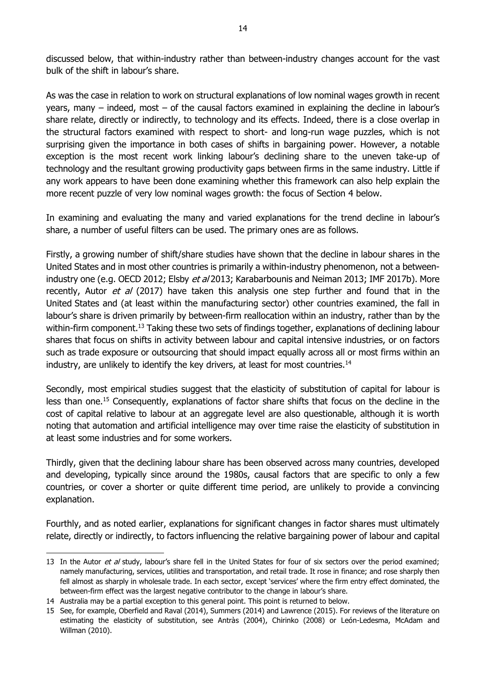discussed below, that within-industry rather than between-industry changes account for the vast bulk of the shift in labour's share.

As was the case in relation to work on structural explanations of low nominal wages growth in recent years, many – indeed, most – of the causal factors examined in explaining the decline in labour's share relate, directly or indirectly, to technology and its effects. Indeed, there is a close overlap in the structural factors examined with respect to short- and long-run wage puzzles, which is not surprising given the importance in both cases of shifts in bargaining power. However, a notable exception is the most recent work linking labour's declining share to the uneven take-up of technology and the resultant growing productivity gaps between firms in the same industry. Little if any work appears to have been done examining whether this framework can also help explain the more recent puzzle of very low nominal wages growth: the focus of Section 4 below.

In examining and evaluating the many and varied explanations for the trend decline in labour's share, a number of useful filters can be used. The primary ones are as follows.

Firstly, a growing number of shift/share studies have shown that the decline in labour shares in the United States and in most other countries is primarily a within-industry phenomenon, not a betweenindustry one (e.g. OECD 2012; Elsby et al 2013; Karabarbounis and Neiman 2013; IMF 2017b). More recently, Autor et al (2017) have taken this analysis one step further and found that in the United States and (at least within the manufacturing sector) other countries examined, the fall in labour's share is driven primarily by between-firm reallocation within an industry, rather than by the within-firm component.<sup>13</sup> Taking these two sets of findings together, explanations of declining labour shares that focus on shifts in activity between labour and capital intensive industries, or on factors such as trade exposure or outsourcing that should impact equally across all or most firms within an industry, are unlikely to identify the key drivers, at least for most countries.<sup>14</sup>

Secondly, most empirical studies suggest that the elasticity of substitution of capital for labour is less than one. <sup>15</sup> Consequently, explanations of factor share shifts that focus on the decline in the cost of capital relative to labour at an aggregate level are also questionable, although it is worth noting that automation and artificial intelligence may over time raise the elasticity of substitution in at least some industries and for some workers.

Thirdly, given that the declining labour share has been observed across many countries, developed and developing, typically since around the 1980s, causal factors that are specific to only a few countries, or cover a shorter or quite different time period, are unlikely to provide a convincing explanation.

Fourthly, and as noted earlier, explanations for significant changes in factor shares must ultimately relate, directly or indirectly, to factors influencing the relative bargaining power of labour and capital

<sup>13</sup> In the Autor et al study, labour's share fell in the United States for four of six sectors over the period examined; namely manufacturing, services, utilities and transportation, and retail trade. It rose in finance; and rose sharply then fell almost as sharply in wholesale trade. In each sector, except 'services' where the firm entry effect dominated, the between-firm effect was the largest negative contributor to the change in labour's share.

<sup>14</sup> Australia may be a partial exception to this general point. This point is returned to below.

<sup>15</sup> See, for example, Oberfield and Raval (2014), Summers (2014) and Lawrence (2015). For reviews of the literature on estimating the elasticity of substitution, see Antràs (2004), Chirinko (2008) or León-Ledesma, McAdam and Willman (2010).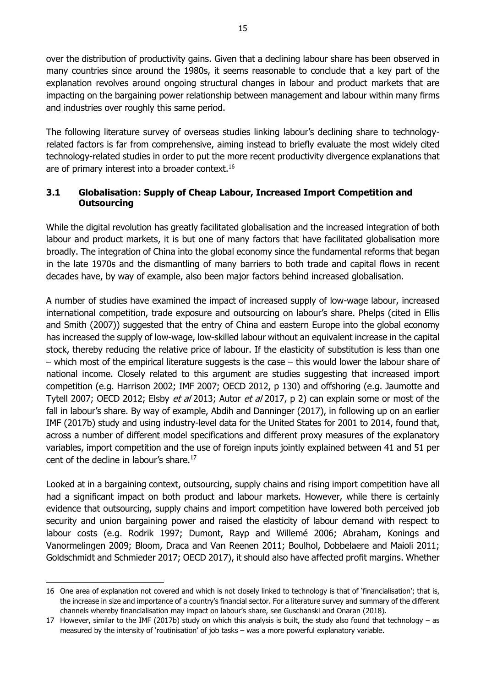over the distribution of productivity gains. Given that a declining labour share has been observed in many countries since around the 1980s, it seems reasonable to conclude that a key part of the explanation revolves around ongoing structural changes in labour and product markets that are impacting on the bargaining power relationship between management and labour within many firms and industries over roughly this same period.

The following literature survey of overseas studies linking labour's declining share to technologyrelated factors is far from comprehensive, aiming instead to briefly evaluate the most widely cited technology-related studies in order to put the more recent productivity divergence explanations that are of primary interest into a broader context.<sup>16</sup>

## <span id="page-20-0"></span>**3.1 Globalisation: Supply of Cheap Labour, Increased Import Competition and Outsourcing**

While the digital revolution has greatly facilitated globalisation and the increased integration of both labour and product markets, it is but one of many factors that have facilitated globalisation more broadly. The integration of China into the global economy since the fundamental reforms that began in the late 1970s and the dismantling of many barriers to both trade and capital flows in recent decades have, by way of example, also been major factors behind increased globalisation.

A number of studies have examined the impact of increased supply of low-wage labour, increased international competition, trade exposure and outsourcing on labour's share. Phelps (cited in Ellis and Smith (2007)) suggested that the entry of China and eastern Europe into the global economy has increased the supply of low-wage, low-skilled labour without an equivalent increase in the capital stock, thereby reducing the relative price of labour. If the elasticity of substitution is less than one – which most of the empirical literature suggests is the case – this would lower the labour share of national income. Closely related to this argument are studies suggesting that increased import competition (e.g. Harrison 2002; IMF 2007; OECD 2012, p 130) and offshoring (e.g. Jaumotte and Tytell 2007; OECD 2012; Elsby et al 2013; Autor et al 2017, p 2) can explain some or most of the fall in labour's share. By way of example, Abdih and Danninger (2017), in following up on an earlier IMF (2017b) study and using industry-level data for the United States for 2001 to 2014, found that, across a number of different model specifications and different proxy measures of the explanatory variables, import competition and the use of foreign inputs jointly explained between 41 and 51 per cent of the decline in labour's share.<sup>17</sup>

Looked at in a bargaining context, outsourcing, supply chains and rising import competition have all had a significant impact on both product and labour markets. However, while there is certainly evidence that outsourcing, supply chains and import competition have lowered both perceived job security and union bargaining power and raised the elasticity of labour demand with respect to labour costs (e.g. Rodrik 1997; Dumont, Rayp and Willemé 2006; Abraham, Konings and Vanormelingen 2009; Bloom, Draca and Van Reenen 2011; Boulhol, Dobbelaere and Maioli 2011; Goldschmidt and Schmieder 2017; OECD 2017), it should also have affected profit margins. Whether

<sup>16</sup> One area of explanation not covered and which is not closely linked to technology is that of 'financialisation'; that is, the increase in size and importance of a country's financial sector. For a literature survey and summary of the different channels whereby financialisation may impact on labour's share, see Guschanski and Onaran (2018).

<sup>17</sup> However, similar to the IMF (2017b) study on which this analysis is built, the study also found that technology  $-$  as measured by the intensity of 'routinisation' of job tasks – was a more powerful explanatory variable.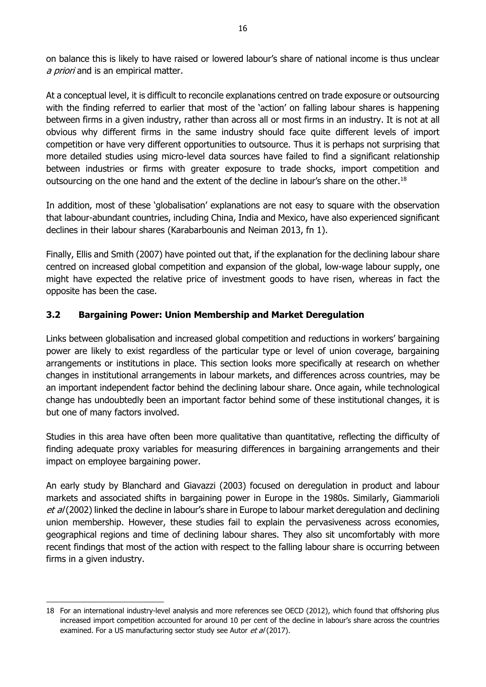on balance this is likely to have raised or lowered labour's share of national income is thus unclear a priori and is an empirical matter.

At a conceptual level, it is difficult to reconcile explanations centred on trade exposure or outsourcing with the finding referred to earlier that most of the 'action' on falling labour shares is happening between firms in a given industry, rather than across all or most firms in an industry. It is not at all obvious why different firms in the same industry should face quite different levels of import competition or have very different opportunities to outsource. Thus it is perhaps not surprising that more detailed studies using micro-level data sources have failed to find a significant relationship between industries or firms with greater exposure to trade shocks, import competition and outsourcing on the one hand and the extent of the decline in labour's share on the other.<sup>18</sup>

In addition, most of these 'globalisation' explanations are not easy to square with the observation that labour-abundant countries, including China, India and Mexico, have also experienced significant declines in their labour shares (Karabarbounis and Neiman 2013, fn 1).

Finally, Ellis and Smith (2007) have pointed out that, if the explanation for the declining labour share centred on increased global competition and expansion of the global, low-wage labour supply, one might have expected the relative price of investment goods to have risen, whereas in fact the opposite has been the case.

## <span id="page-21-0"></span>**3.2 Bargaining Power: Union Membership and Market Deregulation**

Links between globalisation and increased global competition and reductions in workers' bargaining power are likely to exist regardless of the particular type or level of union coverage, bargaining arrangements or institutions in place. This section looks more specifically at research on whether changes in institutional arrangements in labour markets, and differences across countries, may be an important independent factor behind the declining labour share. Once again, while technological change has undoubtedly been an important factor behind some of these institutional changes, it is but one of many factors involved.

Studies in this area have often been more qualitative than quantitative, reflecting the difficulty of finding adequate proxy variables for measuring differences in bargaining arrangements and their impact on employee bargaining power.

An early study by Blanchard and Giavazzi (2003) focused on deregulation in product and labour markets and associated shifts in bargaining power in Europe in the 1980s. Similarly, Giammarioli et al (2002) linked the decline in labour's share in Europe to labour market deregulation and declining union membership. However, these studies fail to explain the pervasiveness across economies, geographical regions and time of declining labour shares. They also sit uncomfortably with more recent findings that most of the action with respect to the falling labour share is occurring between firms in a given industry.

<sup>18</sup> For an international industry-level analysis and more references see OECD (2012), which found that offshoring plus increased import competition accounted for around 10 per cent of the decline in labour's share across the countries examined. For a US manufacturing sector study see Autor et al (2017).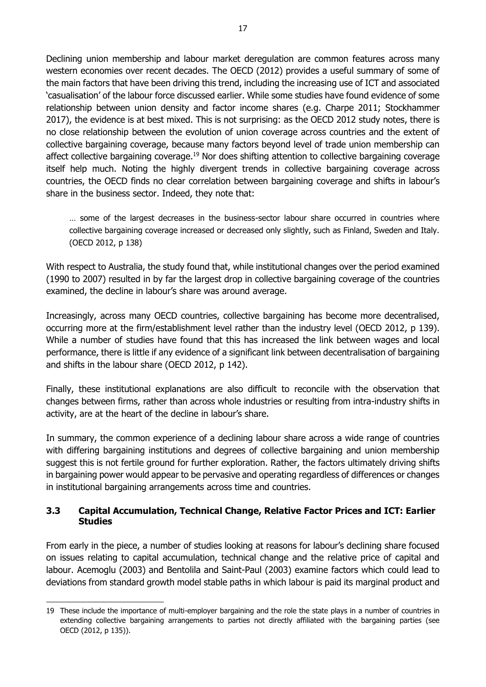Declining union membership and labour market deregulation are common features across many western economies over recent decades. The OECD (2012) provides a useful summary of some of the main factors that have been driving this trend, including the increasing use of ICT and associated 'casualisation' of the labour force discussed earlier. While some studies have found evidence of some relationship between union density and factor income shares (e.g. Charpe 2011; Stockhammer 2017), the evidence is at best mixed. This is not surprising: as the OECD 2012 study notes, there is no close relationship between the evolution of union coverage across countries and the extent of collective bargaining coverage, because many factors beyond level of trade union membership can affect collective bargaining coverage.<sup>19</sup> Nor does shifting attention to collective bargaining coverage itself help much. Noting the highly divergent trends in collective bargaining coverage across countries, the OECD finds no clear correlation between bargaining coverage and shifts in labour's share in the business sector. Indeed, they note that:

… some of the largest decreases in the business-sector labour share occurred in countries where collective bargaining coverage increased or decreased only slightly, such as Finland, Sweden and Italy. (OECD 2012, p 138)

With respect to Australia, the study found that, while institutional changes over the period examined (1990 to 2007) resulted in by far the largest drop in collective bargaining coverage of the countries examined, the decline in labour's share was around average.

Increasingly, across many OECD countries, collective bargaining has become more decentralised, occurring more at the firm/establishment level rather than the industry level (OECD 2012, p 139). While a number of studies have found that this has increased the link between wages and local performance, there is little if any evidence of a significant link between decentralisation of bargaining and shifts in the labour share (OECD 2012, p 142).

Finally, these institutional explanations are also difficult to reconcile with the observation that changes between firms, rather than across whole industries or resulting from intra-industry shifts in activity, are at the heart of the decline in labour's share.

In summary, the common experience of a declining labour share across a wide range of countries with differing bargaining institutions and degrees of collective bargaining and union membership suggest this is not fertile ground for further exploration. Rather, the factors ultimately driving shifts in bargaining power would appear to be pervasive and operating regardless of differences or changes in institutional bargaining arrangements across time and countries.

## <span id="page-22-0"></span>**3.3 Capital Accumulation, Technical Change, Relative Factor Prices and ICT: Earlier Studies**

From early in the piece, a number of studies looking at reasons for labour's declining share focused on issues relating to capital accumulation, technical change and the relative price of capital and labour. Acemoglu (2003) and Bentolila and Saint-Paul (2003) examine factors which could lead to deviations from standard growth model stable paths in which labour is paid its marginal product and

<sup>19</sup> These include the importance of multi-employer bargaining and the role the state plays in a number of countries in extending collective bargaining arrangements to parties not directly affiliated with the bargaining parties (see OECD (2012, p 135)).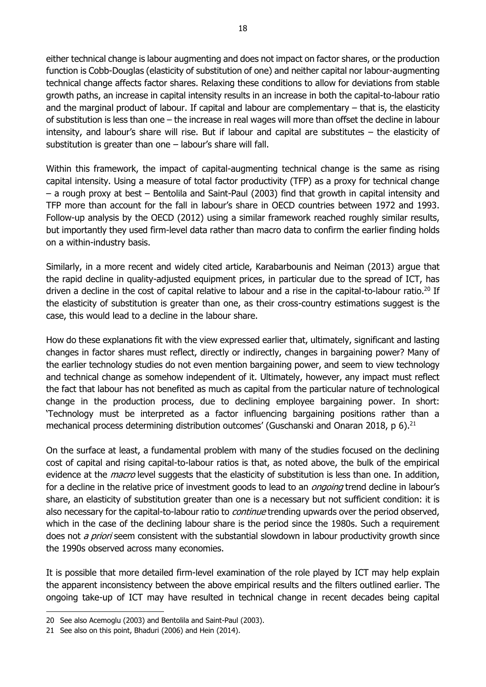either technical change is labour augmenting and does not impact on factor shares, or the production function is Cobb-Douglas (elasticity of substitution of one) and neither capital nor labour-augmenting technical change affects factor shares. Relaxing these conditions to allow for deviations from stable growth paths, an increase in capital intensity results in an increase in both the capital-to-labour ratio and the marginal product of labour. If capital and labour are complementary  $-$  that is, the elasticity of substitution is less than one – the increase in real wages will more than offset the decline in labour intensity, and labour's share will rise. But if labour and capital are substitutes – the elasticity of substitution is greater than one  $-$  labour's share will fall.

Within this framework, the impact of capital-augmenting technical change is the same as rising capital intensity. Using a measure of total factor productivity (TFP) as a proxy for technical change – a rough proxy at best – Bentolila and Saint-Paul (2003) find that growth in capital intensity and TFP more than account for the fall in labour's share in OECD countries between 1972 and 1993. Follow-up analysis by the OECD (2012) using a similar framework reached roughly similar results, but importantly they used firm-level data rather than macro data to confirm the earlier finding holds on a within-industry basis.

Similarly, in a more recent and widely cited article, Karabarbounis and Neiman (2013) argue that the rapid decline in quality-adjusted equipment prices, in particular due to the spread of ICT, has driven a decline in the cost of capital relative to labour and a rise in the capital-to-labour ratio.<sup>20</sup> If the elasticity of substitution is greater than one, as their cross-country estimations suggest is the case, this would lead to a decline in the labour share.

How do these explanations fit with the view expressed earlier that, ultimately, significant and lasting changes in factor shares must reflect, directly or indirectly, changes in bargaining power? Many of the earlier technology studies do not even mention bargaining power, and seem to view technology and technical change as somehow independent of it. Ultimately, however, any impact must reflect the fact that labour has not benefited as much as capital from the particular nature of technological change in the production process, due to declining employee bargaining power. In short: 'Technology must be interpreted as a factor influencing bargaining positions rather than a mechanical process determining distribution outcomes' (Guschanski and Onaran 2018, p 6).<sup>21</sup>

On the surface at least, a fundamental problem with many of the studies focused on the declining cost of capital and rising capital-to-labour ratios is that, as noted above, the bulk of the empirical evidence at the *macro* level suggests that the elasticity of substitution is less than one. In addition, for a decline in the relative price of investment goods to lead to an *ongoing* trend decline in labour's share, an elasticity of substitution greater than one is a necessary but not sufficient condition: it is also necessary for the capital-to-labour ratio to *continue* trending upwards over the period observed, which in the case of the declining labour share is the period since the 1980s. Such a requirement does not *a priori* seem consistent with the substantial slowdown in labour productivity growth since the 1990s observed across many economies.

It is possible that more detailed firm-level examination of the role played by ICT may help explain the apparent inconsistency between the above empirical results and the filters outlined earlier. The ongoing take-up of ICT may have resulted in technical change in recent decades being capital

<sup>20</sup> See also Acemoglu (2003) and Bentolila and Saint-Paul (2003).

<sup>21</sup> See also on this point, Bhaduri (2006) and Hein (2014).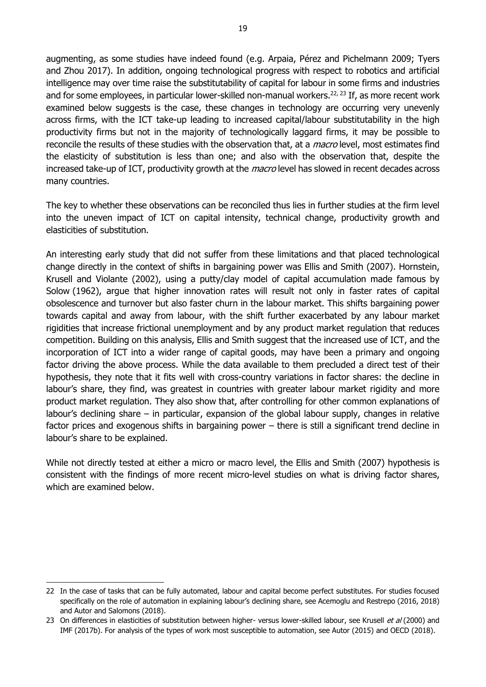augmenting, as some studies have indeed found (e.g. Arpaia, Pérez and Pichelmann 2009; Tyers and Zhou 2017). In addition, ongoing technological progress with respect to robotics and artificial intelligence may over time raise the substitutability of capital for labour in some firms and industries and for some employees, in particular lower-skilled non-manual workers.<sup>22, 23</sup> If, as more recent work examined below suggests is the case, these changes in technology are occurring very unevenly across firms, with the ICT take-up leading to increased capital/labour substitutability in the high productivity firms but not in the majority of technologically laggard firms, it may be possible to reconcile the results of these studies with the observation that, at a *macro* level, most estimates find the elasticity of substitution is less than one; and also with the observation that, despite the increased take-up of ICT, productivity growth at the *macro* level has slowed in recent decades across many countries.

The key to whether these observations can be reconciled thus lies in further studies at the firm level into the uneven impact of ICT on capital intensity, technical change, productivity growth and elasticities of substitution.

An interesting early study that did not suffer from these limitations and that placed technological change directly in the context of shifts in bargaining power was Ellis and Smith (2007). Hornstein, Krusell and Violante (2002), using a putty/clay model of capital accumulation made famous by Solow (1962), argue that higher innovation rates will result not only in faster rates of capital obsolescence and turnover but also faster churn in the labour market. This shifts bargaining power towards capital and away from labour, with the shift further exacerbated by any labour market rigidities that increase frictional unemployment and by any product market regulation that reduces competition. Building on this analysis, Ellis and Smith suggest that the increased use of ICT, and the incorporation of ICT into a wider range of capital goods, may have been a primary and ongoing factor driving the above process. While the data available to them precluded a direct test of their hypothesis, they note that it fits well with cross-country variations in factor shares: the decline in labour's share, they find, was greatest in countries with greater labour market rigidity and more product market regulation. They also show that, after controlling for other common explanations of labour's declining share – in particular, expansion of the global labour supply, changes in relative factor prices and exogenous shifts in bargaining power – there is still a significant trend decline in labour's share to be explained.

While not directly tested at either a micro or macro level, the Ellis and Smith (2007) hypothesis is consistent with the findings of more recent micro-level studies on what is driving factor shares, which are examined below.

<sup>22</sup> In the case of tasks that can be fully automated, labour and capital become perfect substitutes. For studies focused specifically on the role of automation in explaining labour's declining share, see Acemoglu and Restrepo (2016, 2018) and Autor and Salomons (2018).

<sup>23</sup> On differences in elasticities of substitution between higher- versus lower-skilled labour, see Krusell et al (2000) and IMF (2017b). For analysis of the types of work most susceptible to automation, see Autor (2015) and OECD (2018).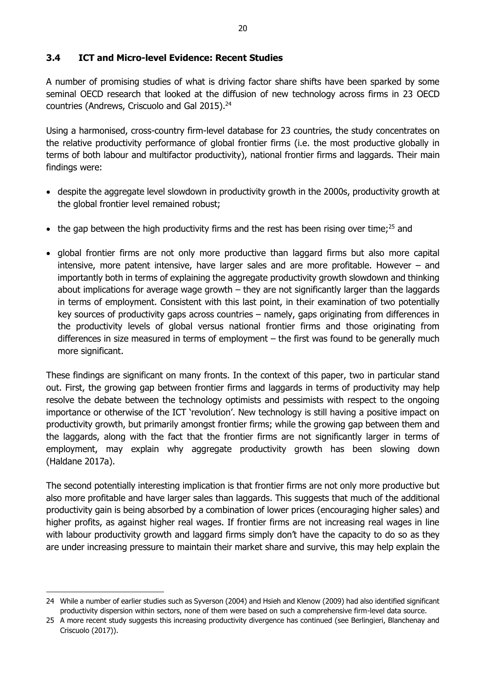## <span id="page-25-0"></span>**3.4 ICT and Micro-level Evidence: Recent Studies**

A number of promising studies of what is driving factor share shifts have been sparked by some seminal OECD research that looked at the diffusion of new technology across firms in 23 OECD countries (Andrews, Criscuolo and Gal 2015).<sup>24</sup>

Using a harmonised, cross-country firm-level database for 23 countries, the study concentrates on the relative productivity performance of global frontier firms (i.e. the most productive globally in terms of both labour and multifactor productivity), national frontier firms and laggards. Their main findings were:

- despite the aggregate level slowdown in productivity growth in the 2000s, productivity growth at the global frontier level remained robust;
- the gap between the high productivity firms and the rest has been rising over time;<sup>25</sup> and
- global frontier firms are not only more productive than laggard firms but also more capital intensive, more patent intensive, have larger sales and are more profitable. However – and importantly both in terms of explaining the aggregate productivity growth slowdown and thinking about implications for average wage growth  $-$  they are not significantly larger than the laggards in terms of employment. Consistent with this last point, in their examination of two potentially key sources of productivity gaps across countries – namely, gaps originating from differences in the productivity levels of global versus national frontier firms and those originating from differences in size measured in terms of employment – the first was found to be generally much more significant.

These findings are significant on many fronts. In the context of this paper, two in particular stand out. First, the growing gap between frontier firms and laggards in terms of productivity may help resolve the debate between the technology optimists and pessimists with respect to the ongoing importance or otherwise of the ICT 'revolution'. New technology is still having a positive impact on productivity growth, but primarily amongst frontier firms; while the growing gap between them and the laggards, along with the fact that the frontier firms are not significantly larger in terms of employment, may explain why aggregate productivity growth has been slowing down (Haldane 2017a).

The second potentially interesting implication is that frontier firms are not only more productive but also more profitable and have larger sales than laggards. This suggests that much of the additional productivity gain is being absorbed by a combination of lower prices (encouraging higher sales) and higher profits, as against higher real wages. If frontier firms are not increasing real wages in line with labour productivity growth and laggard firms simply don't have the capacity to do so as they are under increasing pressure to maintain their market share and survive, this may help explain the

<sup>24</sup> While a number of earlier studies such as Syverson (2004) and Hsieh and Klenow (2009) had also identified significant productivity dispersion within sectors, none of them were based on such a comprehensive firm-level data source.

<sup>25</sup> A more recent study suggests this increasing productivity divergence has continued (see Berlingieri, Blanchenay and Criscuolo (2017)).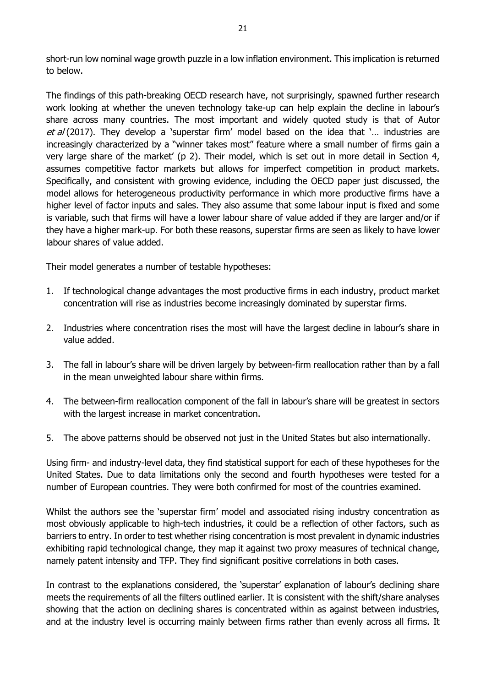short-run low nominal wage growth puzzle in a low inflation environment. This implication is returned to below.

The findings of this path-breaking OECD research have, not surprisingly, spawned further research work looking at whether the uneven technology take-up can help explain the decline in labour's share across many countries. The most important and widely quoted study is that of Autor et  $a/(2017)$ . They develop a 'superstar firm' model based on the idea that '... industries are increasingly characterized by a "winner takes most" feature where a small number of firms gain a very large share of the market' (p 2). Their model, which is set out in more detail in Section 4, assumes competitive factor markets but allows for imperfect competition in product markets. Specifically, and consistent with growing evidence, including the OECD paper just discussed, the model allows for heterogeneous productivity performance in which more productive firms have a higher level of factor inputs and sales. They also assume that some labour input is fixed and some is variable, such that firms will have a lower labour share of value added if they are larger and/or if they have a higher mark-up. For both these reasons, superstar firms are seen as likely to have lower labour shares of value added.

Their model generates a number of testable hypotheses:

- 1. If technological change advantages the most productive firms in each industry, product market concentration will rise as industries become increasingly dominated by superstar firms.
- 2. Industries where concentration rises the most will have the largest decline in labour's share in value added.
- 3. The fall in labour's share will be driven largely by between-firm reallocation rather than by a fall in the mean unweighted labour share within firms.
- 4. The between-firm reallocation component of the fall in labour's share will be greatest in sectors with the largest increase in market concentration.
- 5. The above patterns should be observed not just in the United States but also internationally.

Using firm- and industry-level data, they find statistical support for each of these hypotheses for the United States. Due to data limitations only the second and fourth hypotheses were tested for a number of European countries. They were both confirmed for most of the countries examined.

Whilst the authors see the 'superstar firm' model and associated rising industry concentration as most obviously applicable to high-tech industries, it could be a reflection of other factors, such as barriers to entry. In order to test whether rising concentration is most prevalent in dynamic industries exhibiting rapid technological change, they map it against two proxy measures of technical change, namely patent intensity and TFP. They find significant positive correlations in both cases.

In contrast to the explanations considered, the 'superstar' explanation of labour's declining share meets the requirements of all the filters outlined earlier. It is consistent with the shift/share analyses showing that the action on declining shares is concentrated within as against between industries, and at the industry level is occurring mainly between firms rather than evenly across all firms. It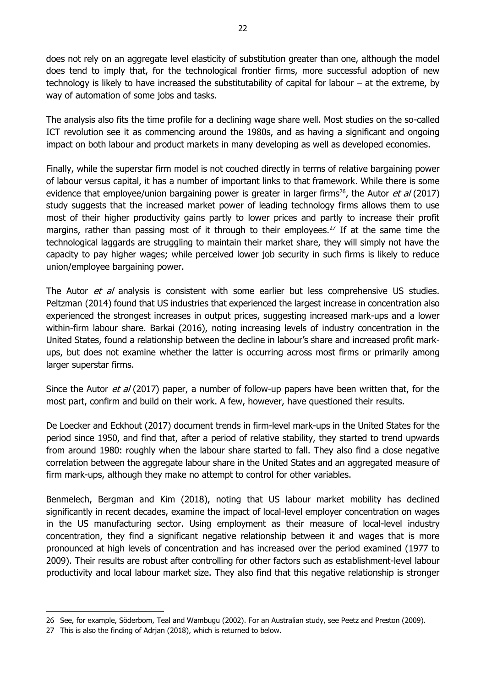does not rely on an aggregate level elasticity of substitution greater than one, although the model does tend to imply that, for the technological frontier firms, more successful adoption of new technology is likely to have increased the substitutability of capital for labour – at the extreme, by way of automation of some jobs and tasks.

The analysis also fits the time profile for a declining wage share well. Most studies on the so-called ICT revolution see it as commencing around the 1980s, and as having a significant and ongoing impact on both labour and product markets in many developing as well as developed economies.

Finally, while the superstar firm model is not couched directly in terms of relative bargaining power of labour versus capital, it has a number of important links to that framework. While there is some evidence that employee/union bargaining power is greater in larger firms<sup>26</sup>, the Autor *et al* (2017) study suggests that the increased market power of leading technology firms allows them to use most of their higher productivity gains partly to lower prices and partly to increase their profit margins, rather than passing most of it through to their employees.<sup>27</sup> If at the same time the technological laggards are struggling to maintain their market share, they will simply not have the capacity to pay higher wages; while perceived lower job security in such firms is likely to reduce union/employee bargaining power.

The Autor et al analysis is consistent with some earlier but less comprehensive US studies. Peltzman (2014) found that US industries that experienced the largest increase in concentration also experienced the strongest increases in output prices, suggesting increased mark-ups and a lower within-firm labour share. Barkai (2016), noting increasing levels of industry concentration in the United States, found a relationship between the decline in labour's share and increased profit markups, but does not examine whether the latter is occurring across most firms or primarily among larger superstar firms.

Since the Autor *et al* (2017) paper, a number of follow-up papers have been written that, for the most part, confirm and build on their work. A few, however, have questioned their results.

De Loecker and Eckhout (2017) document trends in firm-level mark-ups in the United States for the period since 1950, and find that, after a period of relative stability, they started to trend upwards from around 1980: roughly when the labour share started to fall. They also find a close negative correlation between the aggregate labour share in the United States and an aggregated measure of firm mark-ups, although they make no attempt to control for other variables.

Benmelech, Bergman and Kim (2018), noting that US labour market mobility has declined significantly in recent decades, examine the impact of local-level employer concentration on wages in the US manufacturing sector. Using employment as their measure of local-level industry concentration, they find a significant negative relationship between it and wages that is more pronounced at high levels of concentration and has increased over the period examined (1977 to 2009). Their results are robust after controlling for other factors such as establishment-level labour productivity and local labour market size. They also find that this negative relationship is stronger

<sup>26</sup> See, for example, Söderbom, Teal and Wambugu (2002). For an Australian study, see Peetz and Preston (2009).

<sup>27</sup> This is also the finding of Adrjan (2018), which is returned to below.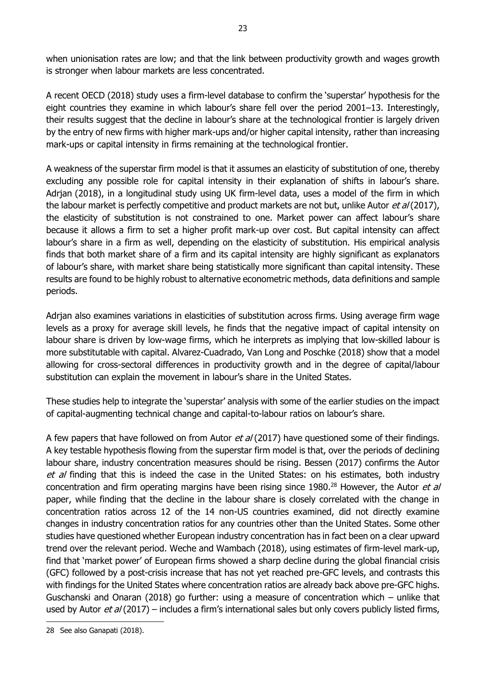when unionisation rates are low; and that the link between productivity growth and wages growth is stronger when labour markets are less concentrated.

23

A recent OECD (2018) study uses a firm-level database to confirm the 'superstar' hypothesis for the eight countries they examine in which labour's share fell over the period 2001–13. Interestingly, their results suggest that the decline in labour's share at the technological frontier is largely driven by the entry of new firms with higher mark-ups and/or higher capital intensity, rather than increasing mark-ups or capital intensity in firms remaining at the technological frontier.

A weakness of the superstar firm model is that it assumes an elasticity of substitution of one, thereby excluding any possible role for capital intensity in their explanation of shifts in labour's share. Adrian (2018), in a longitudinal study using UK firm-level data, uses a model of the firm in which the labour market is perfectly competitive and product markets are not but, unlike Autor et al (2017), the elasticity of substitution is not constrained to one. Market power can affect labour's share because it allows a firm to set a higher profit mark-up over cost. But capital intensity can affect labour's share in a firm as well, depending on the elasticity of substitution. His empirical analysis finds that both market share of a firm and its capital intensity are highly significant as explanators of labour's share, with market share being statistically more significant than capital intensity. These results are found to be highly robust to alternative econometric methods, data definitions and sample periods.

Adrjan also examines variations in elasticities of substitution across firms. Using average firm wage levels as a proxy for average skill levels, he finds that the negative impact of capital intensity on labour share is driven by low-wage firms, which he interprets as implying that low-skilled labour is more substitutable with capital. Alvarez-Cuadrado, Van Long and Poschke (2018) show that a model allowing for cross-sectoral differences in productivity growth and in the degree of capital/labour substitution can explain the movement in labour's share in the United States.

These studies help to integrate the 'superstar' analysis with some of the earlier studies on the impact of capital-augmenting technical change and capital-to-labour ratios on labour's share.

A few papers that have followed on from Autor *et al* (2017) have questioned some of their findings. A key testable hypothesis flowing from the superstar firm model is that, over the periods of declining labour share, industry concentration measures should be rising. Bessen (2017) confirms the Autor et al finding that this is indeed the case in the United States: on his estimates, both industry concentration and firm operating margins have been rising since 1980.<sup>28</sup> However, the Autor et al paper, while finding that the decline in the labour share is closely correlated with the change in concentration ratios across 12 of the 14 non-US countries examined, did not directly examine changes in industry concentration ratios for any countries other than the United States. Some other studies have questioned whether European industry concentration has in fact been on a clear upward trend over the relevant period. Weche and Wambach (2018), using estimates of firm-level mark-up, find that 'market power' of European firms showed a sharp decline during the global financial crisis (GFC) followed by a post-crisis increase that has not yet reached pre-GFC levels, and contrasts this with findings for the United States where concentration ratios are already back above pre-GFC highs. Guschanski and Onaran (2018) go further: using a measure of concentration which – unlike that used by Autor *et al* (2017) – includes a firm's international sales but only covers publicly listed firms,

<sup>-</sup>28 See also Ganapati (2018).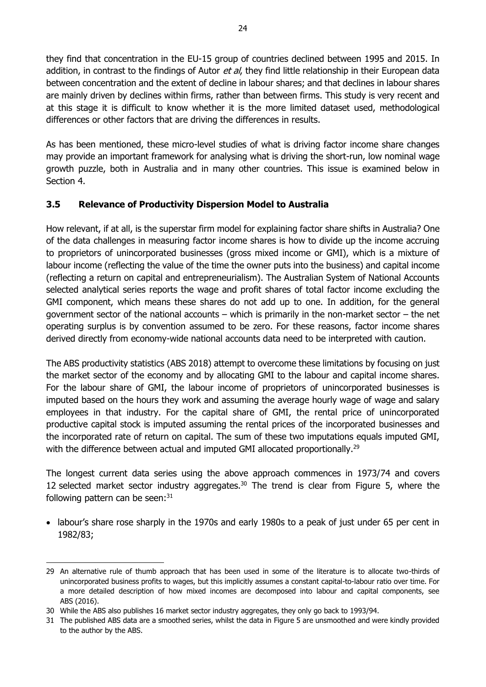they find that concentration in the EU-15 group of countries declined between 1995 and 2015. In addition, in contrast to the findings of Autor *et al*, they find little relationship in their European data between concentration and the extent of decline in labour shares; and that declines in labour shares are mainly driven by declines within firms, rather than between firms. This study is very recent and at this stage it is difficult to know whether it is the more limited dataset used, methodological differences or other factors that are driving the differences in results.

As has been mentioned, these micro-level studies of what is driving factor income share changes may provide an important framework for analysing what is driving the short-run, low nominal wage growth puzzle, both in Australia and in many other countries. This issue is examined below in Section 4.

## <span id="page-29-0"></span>**3.5 Relevance of Productivity Dispersion Model to Australia**

How relevant, if at all, is the superstar firm model for explaining factor share shifts in Australia? One of the data challenges in measuring factor income shares is how to divide up the income accruing to proprietors of unincorporated businesses (gross mixed income or GMI), which is a mixture of labour income (reflecting the value of the time the owner puts into the business) and capital income (reflecting a return on capital and entrepreneurialism). The Australian System of National Accounts selected analytical series reports the wage and profit shares of total factor income excluding the GMI component, which means these shares do not add up to one. In addition, for the general government sector of the national accounts – which is primarily in the non-market sector – the net operating surplus is by convention assumed to be zero. For these reasons, factor income shares derived directly from economy-wide national accounts data need to be interpreted with caution.

The ABS productivity statistics (ABS 2018) attempt to overcome these limitations by focusing on just the market sector of the economy and by allocating GMI to the labour and capital income shares. For the labour share of GMI, the labour income of proprietors of unincorporated businesses is imputed based on the hours they work and assuming the average hourly wage of wage and salary employees in that industry. For the capital share of GMI, the rental price of unincorporated productive capital stock is imputed assuming the rental prices of the incorporated businesses and the incorporated rate of return on capital. The sum of these two imputations equals imputed GMI, with the difference between actual and imputed GMI allocated proportionally.<sup>29</sup>

The longest current data series using the above approach commences in 1973/74 and covers 12 selected market sector industry aggregates. $30$  The trend is clear from Figure 5, where the following pattern can be seen: $31$ 

 labour's share rose sharply in the 1970s and early 1980s to a peak of just under 65 per cent in 1982/83;

<sup>29</sup> An alternative rule of thumb approach that has been used in some of the literature is to allocate two-thirds of unincorporated business profits to wages, but this implicitly assumes a constant capital-to-labour ratio over time. For a more detailed description of how mixed incomes are decomposed into labour and capital components, see ABS (2016).

<sup>30</sup> While the ABS also publishes 16 market sector industry aggregates, they only go back to 1993/94.

<sup>31</sup> The published ABS data are a smoothed series, whilst the data in Figure 5 are unsmoothed and were kindly provided to the author by the ABS.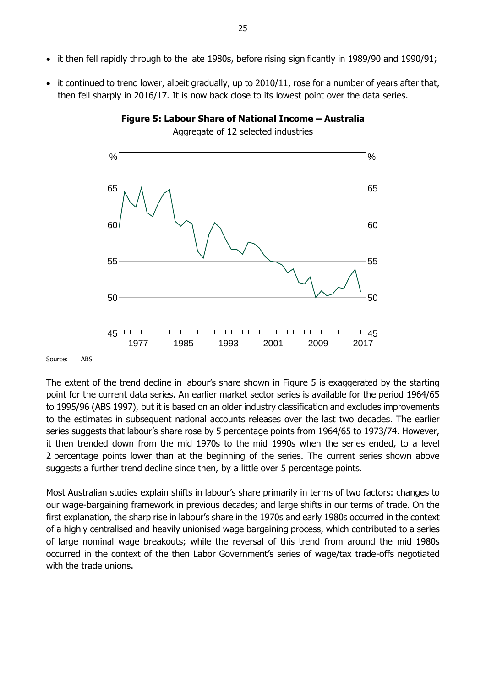• it continued to trend lower, albeit gradually, up to 2010/11, rose for a number of years after that, then fell sharply in 2016/17. It is now back close to its lowest point over the data series.



![](_page_30_Figure_3.jpeg)

Source: ABS

The extent of the trend decline in labour's share shown in Figure 5 is exaggerated by the starting point for the current data series. An earlier market sector series is available for the period 1964/65 to 1995/96 (ABS 1997), but it is based on an older industry classification and excludes improvements to the estimates in subsequent national accounts releases over the last two decades. The earlier series suggests that labour's share rose by 5 percentage points from 1964/65 to 1973/74. However, it then trended down from the mid 1970s to the mid 1990s when the series ended, to a level 2 percentage points lower than at the beginning of the series. The current series shown above suggests a further trend decline since then, by a little over 5 percentage points.

Most Australian studies explain shifts in labour's share primarily in terms of two factors: changes to our wage-bargaining framework in previous decades; and large shifts in our terms of trade. On the first explanation, the sharp rise in labour's share in the 1970s and early 1980s occurred in the context of a highly centralised and heavily unionised wage bargaining process, which contributed to a series of large nominal wage breakouts; while the reversal of this trend from around the mid 1980s occurred in the context of the then Labor Government's series of wage/tax trade-offs negotiated with the trade unions.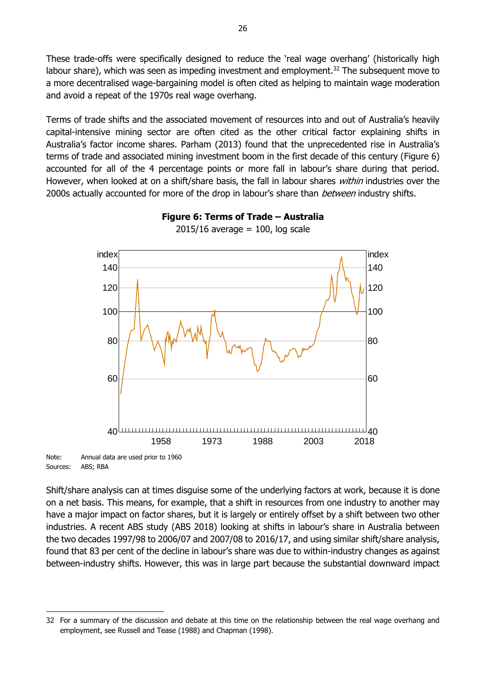These trade-offs were specifically designed to reduce the 'real wage overhang' (historically high labour share), which was seen as impeding investment and employment.<sup>32</sup> The subsequent move to a more decentralised wage-bargaining model is often cited as helping to maintain wage moderation and avoid a repeat of the 1970s real wage overhang.

Terms of trade shifts and the associated movement of resources into and out of Australia's heavily capital-intensive mining sector are often cited as the other critical factor explaining shifts in Australia's factor income shares. Parham (2013) found that the unprecedented rise in Australia's terms of trade and associated mining investment boom in the first decade of this century (Figure 6) accounted for all of the 4 percentage points or more fall in labour's share during that period. However, when looked at on a shift/share basis, the fall in labour shares *within* industries over the 2000s actually accounted for more of the drop in labour's share than *between* industry shifts.

![](_page_31_Figure_2.jpeg)

**Figure 6: Terms of Trade – Australia**  $2015/16$  average = 100, log scale

Note: Annual data are used prior to 1960 Sources: ABS; RBA

-

Shift/share analysis can at times disguise some of the underlying factors at work, because it is done on a net basis. This means, for example, that a shift in resources from one industry to another may have a major impact on factor shares, but it is largely or entirely offset by a shift between two other industries. A recent ABS study (ABS 2018) looking at shifts in labour's share in Australia between the two decades 1997/98 to 2006/07 and 2007/08 to 2016/17, and using similar shift/share analysis, found that 83 per cent of the decline in labour's share was due to within-industry changes as against between-industry shifts. However, this was in large part because the substantial downward impact

<sup>32</sup> For a summary of the discussion and debate at this time on the relationship between the real wage overhang and employment, see Russell and Tease (1988) and Chapman (1998).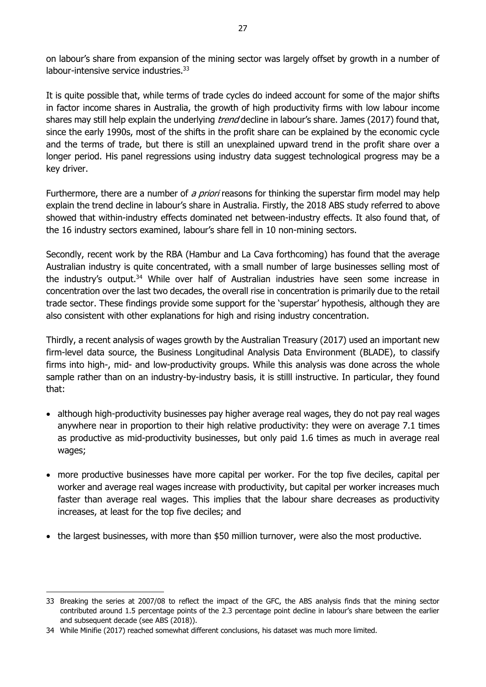on labour's share from expansion of the mining sector was largely offset by growth in a number of labour-intensive service industries.<sup>33</sup>

It is quite possible that, while terms of trade cycles do indeed account for some of the major shifts in factor income shares in Australia, the growth of high productivity firms with low labour income shares may still help explain the underlying *trend* decline in labour's share. James (2017) found that, since the early 1990s, most of the shifts in the profit share can be explained by the economic cycle and the terms of trade, but there is still an unexplained upward trend in the profit share over a longer period. His panel regressions using industry data suggest technological progress may be a key driver.

Furthermore, there are a number of a priori reasons for thinking the superstar firm model may help explain the trend decline in labour's share in Australia. Firstly, the 2018 ABS study referred to above showed that within-industry effects dominated net between-industry effects. It also found that, of the 16 industry sectors examined, labour's share fell in 10 non-mining sectors.

Secondly, recent work by the RBA (Hambur and La Cava forthcoming) has found that the average Australian industry is quite concentrated, with a small number of large businesses selling most of the industry's output.<sup>34</sup> While over half of Australian industries have seen some increase in concentration over the last two decades, the overall rise in concentration is primarily due to the retail trade sector. These findings provide some support for the 'superstar' hypothesis, although they are also consistent with other explanations for high and rising industry concentration.

Thirdly, a recent analysis of wages growth by the Australian Treasury (2017) used an important new firm-level data source, the Business Longitudinal Analysis Data Environment (BLADE), to classify firms into high-, mid- and low-productivity groups. While this analysis was done across the whole sample rather than on an industry-by-industry basis, it is stilll instructive. In particular, they found that:

- although high-productivity businesses pay higher average real wages, they do not pay real wages anywhere near in proportion to their high relative productivity: they were on average 7.1 times as productive as mid-productivity businesses, but only paid 1.6 times as much in average real wages;
- more productive businesses have more capital per worker. For the top five deciles, capital per worker and average real wages increase with productivity, but capital per worker increases much faster than average real wages. This implies that the labour share decreases as productivity increases, at least for the top five deciles; and
- the largest businesses, with more than \$50 million turnover, were also the most productive.

<sup>33</sup> Breaking the series at 2007/08 to reflect the impact of the GFC, the ABS analysis finds that the mining sector contributed around 1.5 percentage points of the 2.3 percentage point decline in labour's share between the earlier and subsequent decade (see ABS (2018)).

<sup>34</sup> While Minifie (2017) reached somewhat different conclusions, his dataset was much more limited.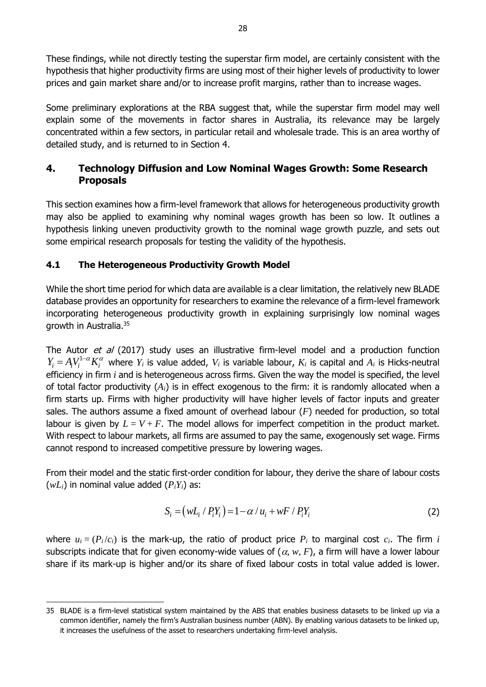These findings, while not directly testing the superstar firm model, are certainly consistent with the hypothesis that higher productivity firms are using most of their higher levels of productivity to lower prices and gain market share and/or to increase profit margins, rather than to increase wages.

Some preliminary explorations at the RBA suggest that, while the superstar firm model may well explain some of the movements in factor shares in Australia, its relevance may be largely concentrated within a few sectors, in particular retail and wholesale trade. This is an area worthy of detailed study, and is returned to in Section 4.

## <span id="page-33-0"></span>**4. Technology Diffusion and Low Nominal Wages Growth: Some Research Proposals**

This section examines how a firm-level framework that allows for heterogeneous productivity growth may also be applied to examining why nominal wages growth has been so low. It outlines a hypothesis linking uneven productivity growth to the nominal wage growth puzzle, and sets out some empirical research proposals for testing the validity of the hypothesis.

## <span id="page-33-1"></span>**4.1 The Heterogeneous Productivity Growth Model**

-

While the short time period for which data are available is a clear limitation, the relatively new BLADE database provides an opportunity for researchers to examine the relevance of a firm-level framework incorporating heterogeneous productivity growth in explaining surprisingly low nominal wages growth in Australia.<sup>35</sup>

The Autor et al (2017) study uses an illustrative firm-level model and a production function  $Y_i = A_i V_i^{1-\alpha} K_i^{\alpha}$  where  $Y_i$  is value added,  $V_i$  is variable labour,  $K_i$  is capital and  $A_i$  is Hicks-neutral efficiency in firm *i* and is heterogeneous across firms. Given the way the model is specified, the level of total factor productivity (*Ai*) is in effect exogenous to the firm: it is randomly allocated when a firm starts up. Firms with higher productivity will have higher levels of factor inputs and greater sales. The authors assume a fixed amount of overhead labour (*F*) needed for production, so total labour is given by  $L = V + F$ . The model allows for imperfect competition in the product market. With respect to labour markets, all firms are assumed to pay the same, exogenously set wage. Firms cannot respond to increased competitive pressure by lowering wages.

From their model and the static first-order condition for labour, they derive the share of labour costs  $(wL_i)$  in nominal value added  $(P_iY_i)$  as:

$$
S_i = (wL_i / P_i Y_i) = 1 - \alpha / u_i + wF / P_i Y_i
$$
 (2)

where  $u_i = (P_i/c_i)$  is the mark-up, the ratio of product price  $P_i$  to marginal cost  $c_i$ . The firm *i* subscripts indicate that for given economy-wide values of  $(\alpha, w, F)$ , a firm will have a lower labour share if its mark-up is higher and/or its share of fixed labour costs in total value added is lower.

<sup>35</sup> BLADE is a firm-level statistical system maintained by the ABS that enables business datasets to be linked up via a common identifier, namely the firm's Australian business number (ABN). By enabling various datasets to be linked up, it increases the usefulness of the asset to researchers undertaking firm-level analysis.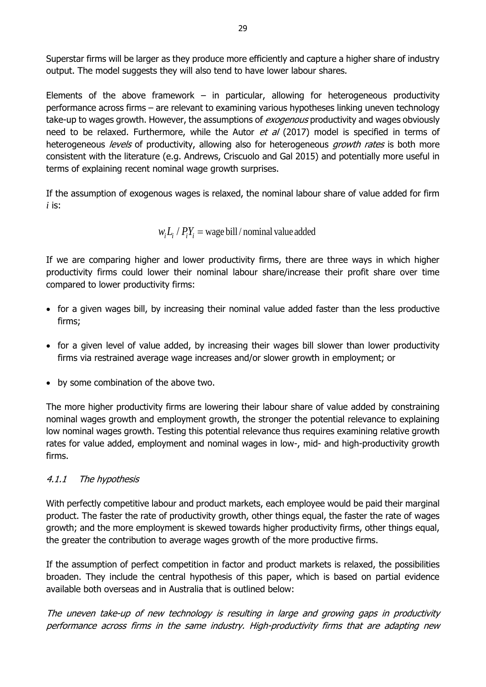Superstar firms will be larger as they produce more efficiently and capture a higher share of industry output. The model suggests they will also tend to have lower labour shares.

Elements of the above framework  $-$  in particular, allowing for heterogeneous productivity performance across firms – are relevant to examining various hypotheses linking uneven technology take-up to wages growth. However, the assumptions of *exogenous* productivity and wages obviously need to be relaxed. Furthermore, while the Autor et  $a/$  (2017) model is specified in terms of heterogeneous *levels* of productivity, allowing also for heterogeneous *growth rates* is both more consistent with the literature (e.g. Andrews, Criscuolo and Gal 2015) and potentially more useful in terms of explaining recent nominal wage growth surprises.

If the assumption of exogenous wages is relaxed, the nominal labour share of value added for firm *i* is:

$$
w_i L_i / P_i Y_i
$$
 = wage bill / nominal value added

If we are comparing higher and lower productivity firms, there are three ways in which higher productivity firms could lower their nominal labour share/increase their profit share over time compared to lower productivity firms:

- for a given wages bill, by increasing their nominal value added faster than the less productive firms;
- for a given level of value added, by increasing their wages bill slower than lower productivity firms via restrained average wage increases and/or slower growth in employment; or
- by some combination of the above two.

The more higher productivity firms are lowering their labour share of value added by constraining nominal wages growth and employment growth, the stronger the potential relevance to explaining low nominal wages growth. Testing this potential relevance thus requires examining relative growth rates for value added, employment and nominal wages in low-, mid- and high-productivity growth firms.

## <span id="page-34-0"></span>4.1.1 The hypothesis

With perfectly competitive labour and product markets, each employee would be paid their marginal product. The faster the rate of productivity growth, other things equal, the faster the rate of wages growth; and the more employment is skewed towards higher productivity firms, other things equal, the greater the contribution to average wages growth of the more productive firms.

If the assumption of perfect competition in factor and product markets is relaxed, the possibilities broaden. They include the central hypothesis of this paper, which is based on partial evidence available both overseas and in Australia that is outlined below:

The uneven take-up of new technology is resulting in large and growing gaps in productivity performance across firms in the same industry. High-productivity firms that are adapting new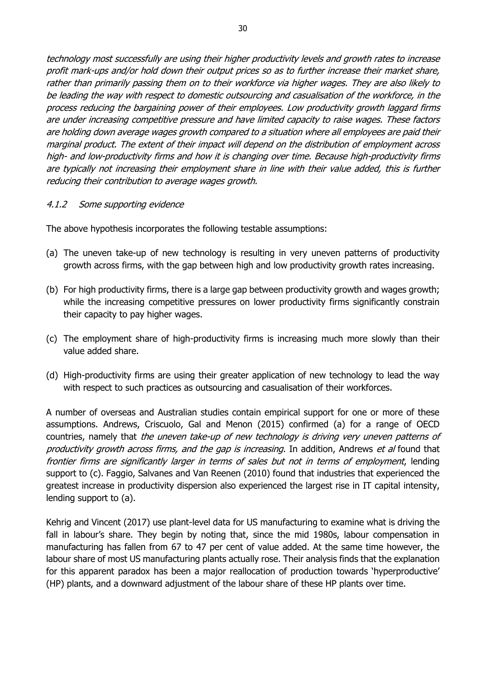technology most successfully are using their higher productivity levels and growth rates to increase profit mark-ups and/or hold down their output prices so as to further increase their market share, rather than primarily passing them on to their workforce via higher wages. They are also likely to be leading the way with respect to domestic outsourcing and casualisation of the workforce, in the process reducing the bargaining power of their employees. Low productivity growth laggard firms are under increasing competitive pressure and have limited capacity to raise wages. These factors are holding down average wages growth compared to a situation where all employees are paid their marginal product. The extent of their impact will depend on the distribution of employment across high- and low-productivity firms and how it is changing over time. Because high-productivity firms are typically not increasing their employment share in line with their value added, this is further reducing their contribution to average wages growth.

#### <span id="page-35-0"></span>4.1.2 Some supporting evidence

The above hypothesis incorporates the following testable assumptions:

- (a) The uneven take-up of new technology is resulting in very uneven patterns of productivity growth across firms, with the gap between high and low productivity growth rates increasing.
- (b) For high productivity firms, there is a large gap between productivity growth and wages growth; while the increasing competitive pressures on lower productivity firms significantly constrain their capacity to pay higher wages.
- (c) The employment share of high-productivity firms is increasing much more slowly than their value added share.
- (d) High-productivity firms are using their greater application of new technology to lead the way with respect to such practices as outsourcing and casualisation of their workforces.

A number of overseas and Australian studies contain empirical support for one or more of these assumptions. Andrews, Criscuolo, Gal and Menon (2015) confirmed (a) for a range of OECD countries, namely that the uneven take-up of new technology is driving very uneven patterns of productivity growth across firms, and the gap is increasing. In addition, Andrews et al found that frontier firms are significantly larger in terms of sales but not in terms of employment, lending support to (c). Faggio, Salvanes and Van Reenen (2010) found that industries that experienced the greatest increase in productivity dispersion also experienced the largest rise in IT capital intensity, lending support to (a).

Kehrig and Vincent (2017) use plant-level data for US manufacturing to examine what is driving the fall in labour's share. They begin by noting that, since the mid 1980s, labour compensation in manufacturing has fallen from 67 to 47 per cent of value added. At the same time however, the labour share of most US manufacturing plants actually rose. Their analysis finds that the explanation for this apparent paradox has been a major reallocation of production towards 'hyperproductive' (HP) plants, and a downward adjustment of the labour share of these HP plants over time.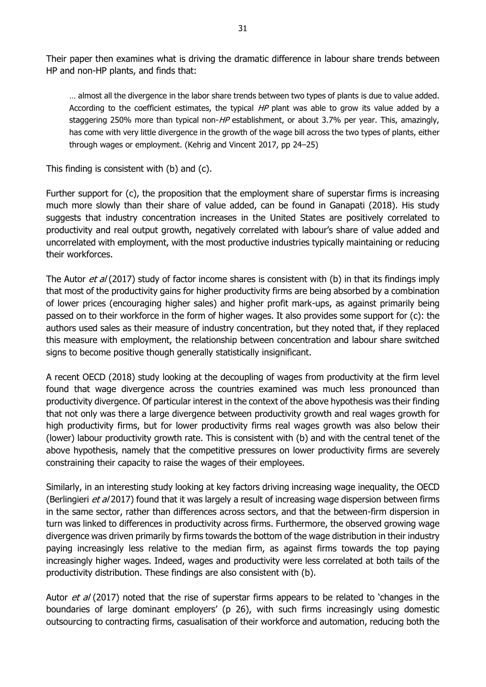Their paper then examines what is driving the dramatic difference in labour share trends between HP and non-HP plants, and finds that:

… almost all the divergence in the labor share trends between two types of plants is due to value added. According to the coefficient estimates, the typical  $HP$  plant was able to grow its value added by a staggering 250% more than typical non-HP establishment, or about 3.7% per year. This, amazingly, has come with very little divergence in the growth of the wage bill across the two types of plants, either through wages or employment. (Kehrig and Vincent 2017, pp 24–25)

This finding is consistent with (b) and (c).

Further support for (c), the proposition that the employment share of superstar firms is increasing much more slowly than their share of value added, can be found in Ganapati (2018). His study suggests that industry concentration increases in the United States are positively correlated to productivity and real output growth, negatively correlated with labour's share of value added and uncorrelated with employment, with the most productive industries typically maintaining or reducing their workforces.

The Autor et al (2017) study of factor income shares is consistent with (b) in that its findings imply that most of the productivity gains for higher productivity firms are being absorbed by a combination of lower prices (encouraging higher sales) and higher profit mark-ups, as against primarily being passed on to their workforce in the form of higher wages. It also provides some support for (c): the authors used sales as their measure of industry concentration, but they noted that, if they replaced this measure with employment, the relationship between concentration and labour share switched signs to become positive though generally statistically insignificant.

A recent OECD (2018) study looking at the decoupling of wages from productivity at the firm level found that wage divergence across the countries examined was much less pronounced than productivity divergence. Of particular interest in the context of the above hypothesis was their finding that not only was there a large divergence between productivity growth and real wages growth for high productivity firms, but for lower productivity firms real wages growth was also below their (lower) labour productivity growth rate. This is consistent with (b) and with the central tenet of the above hypothesis, namely that the competitive pressures on lower productivity firms are severely constraining their capacity to raise the wages of their employees.

Similarly, in an interesting study looking at key factors driving increasing wage inequality, the OECD (Berlingieri et al 2017) found that it was largely a result of increasing wage dispersion between firms in the same sector, rather than differences across sectors, and that the between-firm dispersion in turn was linked to differences in productivity across firms. Furthermore, the observed growing wage divergence was driven primarily by firms towards the bottom of the wage distribution in their industry paying increasingly less relative to the median firm, as against firms towards the top paying increasingly higher wages. Indeed, wages and productivity were less correlated at both tails of the productivity distribution. These findings are also consistent with (b).

Autor *et al* (2017) noted that the rise of superstar firms appears to be related to 'changes in the boundaries of large dominant employers' (p 26), with such firms increasingly using domestic outsourcing to contracting firms, casualisation of their workforce and automation, reducing both the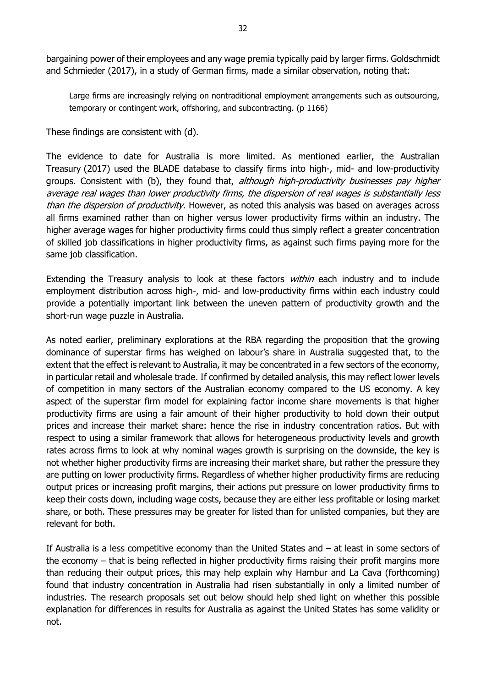and Schmieder (2017), in a study of German firms, made a similar observation, noting that:

Large firms are increasingly relying on nontraditional employment arrangements such as outsourcing, temporary or contingent work, offshoring, and subcontracting. (p 1166)

These findings are consistent with (d).

The evidence to date for Australia is more limited. As mentioned earlier, the Australian Treasury (2017) used the BLADE database to classify firms into high-, mid- and low-productivity groups. Consistent with (b), they found that, *although high-productivity businesses pay higher* average real wages than lower productivity firms, the dispersion of real wages is substantially less than the dispersion of productivity. However, as noted this analysis was based on averages across all firms examined rather than on higher versus lower productivity firms within an industry. The higher average wages for higher productivity firms could thus simply reflect a greater concentration of skilled job classifications in higher productivity firms, as against such firms paying more for the same job classification.

Extending the Treasury analysis to look at these factors *within* each industry and to include employment distribution across high-, mid- and low-productivity firms within each industry could provide a potentially important link between the uneven pattern of productivity growth and the short-run wage puzzle in Australia.

As noted earlier, preliminary explorations at the RBA regarding the proposition that the growing dominance of superstar firms has weighed on labour's share in Australia suggested that, to the extent that the effect is relevant to Australia, it may be concentrated in a few sectors of the economy, in particular retail and wholesale trade. If confirmed by detailed analysis, this may reflect lower levels of competition in many sectors of the Australian economy compared to the US economy. A key aspect of the superstar firm model for explaining factor income share movements is that higher productivity firms are using a fair amount of their higher productivity to hold down their output prices and increase their market share: hence the rise in industry concentration ratios. But with respect to using a similar framework that allows for heterogeneous productivity levels and growth rates across firms to look at why nominal wages growth is surprising on the downside, the key is not whether higher productivity firms are increasing their market share, but rather the pressure they are putting on lower productivity firms. Regardless of whether higher productivity firms are reducing output prices or increasing profit margins, their actions put pressure on lower productivity firms to keep their costs down, including wage costs, because they are either less profitable or losing market share, or both. These pressures may be greater for listed than for unlisted companies, but they are relevant for both.

If Australia is a less competitive economy than the United States and – at least in some sectors of the economy – that is being reflected in higher productivity firms raising their profit margins more than reducing their output prices, this may help explain why Hambur and La Cava (forthcoming) found that industry concentration in Australia had risen substantially in only a limited number of industries. The research proposals set out below should help shed light on whether this possible explanation for differences in results for Australia as against the United States has some validity or not.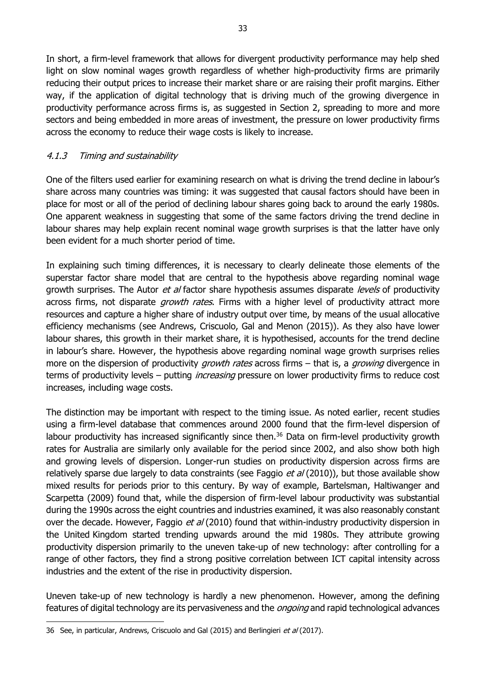In short, a firm-level framework that allows for divergent productivity performance may help shed light on slow nominal wages growth regardless of whether high-productivity firms are primarily reducing their output prices to increase their market share or are raising their profit margins. Either way, if the application of digital technology that is driving much of the growing divergence in productivity performance across firms is, as suggested in Section 2, spreading to more and more sectors and being embedded in more areas of investment, the pressure on lower productivity firms across the economy to reduce their wage costs is likely to increase.

## <span id="page-38-0"></span>4.1.3 Timing and sustainability

One of the filters used earlier for examining research on what is driving the trend decline in labour's share across many countries was timing: it was suggested that causal factors should have been in place for most or all of the period of declining labour shares going back to around the early 1980s. One apparent weakness in suggesting that some of the same factors driving the trend decline in labour shares may help explain recent nominal wage growth surprises is that the latter have only been evident for a much shorter period of time.

In explaining such timing differences, it is necessary to clearly delineate those elements of the superstar factor share model that are central to the hypothesis above regarding nominal wage growth surprises. The Autor et al factor share hypothesis assumes disparate levels of productivity across firms, not disparate *growth rates*. Firms with a higher level of productivity attract more resources and capture a higher share of industry output over time, by means of the usual allocative efficiency mechanisms (see Andrews, Criscuolo, Gal and Menon (2015)). As they also have lower labour shares, this growth in their market share, it is hypothesised, accounts for the trend decline in labour's share. However, the hypothesis above regarding nominal wage growth surprises relies more on the dispersion of productivity *growth rates* across firms – that is, a *growing* divergence in terms of productivity levels – putting *increasing* pressure on lower productivity firms to reduce cost increases, including wage costs.

The distinction may be important with respect to the timing issue. As noted earlier, recent studies using a firm-level database that commences around 2000 found that the firm-level dispersion of labour productivity has increased significantly since then.<sup>36</sup> Data on firm-level productivity growth rates for Australia are similarly only available for the period since 2002, and also show both high and growing levels of dispersion. Longer-run studies on productivity dispersion across firms are relatively sparse due largely to data constraints (see Faggio *et al* (2010)), but those available show mixed results for periods prior to this century. By way of example, Bartelsman, Haltiwanger and Scarpetta (2009) found that, while the dispersion of firm-level labour productivity was substantial during the 1990s across the eight countries and industries examined, it was also reasonably constant over the decade. However, Faggio et al (2010) found that within-industry productivity dispersion in the United Kingdom started trending upwards around the mid 1980s. They attribute growing productivity dispersion primarily to the uneven take-up of new technology: after controlling for a range of other factors, they find a strong positive correlation between ICT capital intensity across industries and the extent of the rise in productivity dispersion.

Uneven take-up of new technology is hardly a new phenomenon. However, among the defining features of digital technology are its pervasiveness and the *ongoing* and rapid technological advances

<sup>36</sup> See, in particular, Andrews, Criscuolo and Gal (2015) and Berlingieri et al (2017).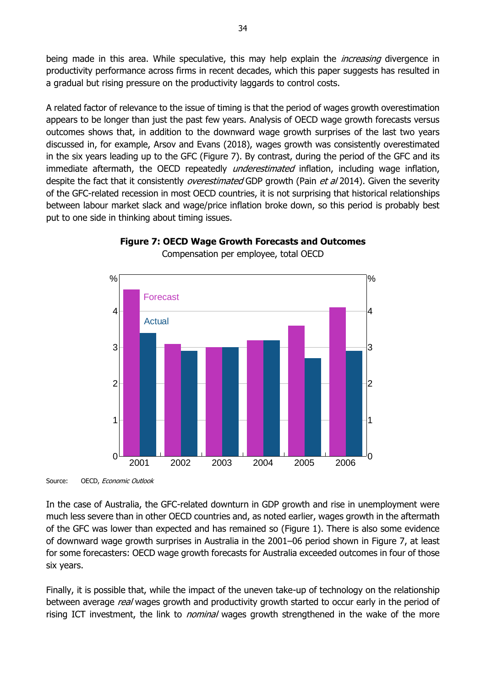being made in this area. While speculative, this may help explain the *increasing* divergence in productivity performance across firms in recent decades, which this paper suggests has resulted in a gradual but rising pressure on the productivity laggards to control costs.

A related factor of relevance to the issue of timing is that the period of wages growth overestimation appears to be longer than just the past few years. Analysis of OECD wage growth forecasts versus outcomes shows that, in addition to the downward wage growth surprises of the last two years discussed in, for example, Arsov and Evans (2018), wages growth was consistently overestimated in the six years leading up to the GFC (Figure 7). By contrast, during the period of the GFC and its immediate aftermath, the OECD repeatedly *underestimated* inflation, including wage inflation, despite the fact that it consistently *overestimated* GDP growth (Pain *et al* 2014). Given the severity of the GFC-related recession in most OECD countries, it is not surprising that historical relationships between labour market slack and wage/price inflation broke down, so this period is probably best put to one side in thinking about timing issues.

![](_page_39_Figure_2.jpeg)

# **Figure 7: OECD Wage Growth Forecasts and Outcomes**

Compensation per employee, total OECD

Source: OECD, Economic Outlook

In the case of Australia, the GFC-related downturn in GDP growth and rise in unemployment were much less severe than in other OECD countries and, as noted earlier, wages growth in the aftermath of the GFC was lower than expected and has remained so (Figure 1). There is also some evidence of downward wage growth surprises in Australia in the 2001–06 period shown in Figure 7, at least for some forecasters: OECD wage growth forecasts for Australia exceeded outcomes in four of those six years.

Finally, it is possible that, while the impact of the uneven take-up of technology on the relationship between average real wages growth and productivity growth started to occur early in the period of rising ICT investment, the link to *nominal* wages growth strengthened in the wake of the more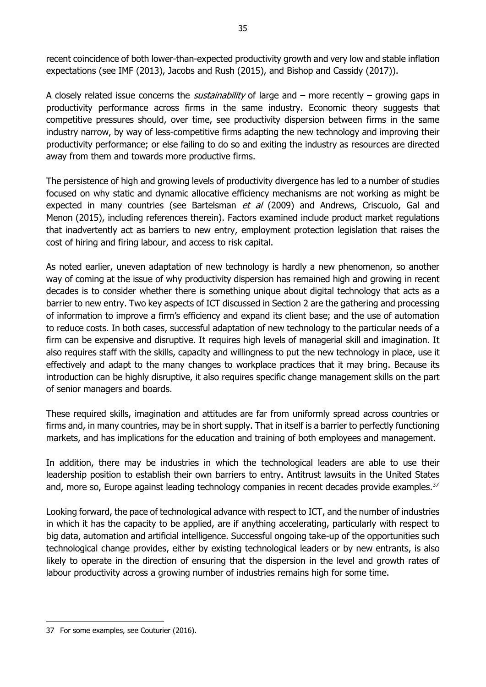recent coincidence of both lower-than-expected productivity growth and very low and stable inflation expectations (see IMF (2013), Jacobs and Rush (2015), and Bishop and Cassidy (2017)).

A closely related issue concerns the *sustainability* of large and – more recently – growing gaps in productivity performance across firms in the same industry. Economic theory suggests that competitive pressures should, over time, see productivity dispersion between firms in the same industry narrow, by way of less-competitive firms adapting the new technology and improving their productivity performance; or else failing to do so and exiting the industry as resources are directed away from them and towards more productive firms.

The persistence of high and growing levels of productivity divergence has led to a number of studies focused on why static and dynamic allocative efficiency mechanisms are not working as might be expected in many countries (see Bartelsman  $et$  al  $(2009)$  and Andrews, Criscuolo, Gal and Menon (2015), including references therein). Factors examined include product market regulations that inadvertently act as barriers to new entry, employment protection legislation that raises the cost of hiring and firing labour, and access to risk capital.

As noted earlier, uneven adaptation of new technology is hardly a new phenomenon, so another way of coming at the issue of why productivity dispersion has remained high and growing in recent decades is to consider whether there is something unique about digital technology that acts as a barrier to new entry. Two key aspects of ICT discussed in Section 2 are the gathering and processing of information to improve a firm's efficiency and expand its client base; and the use of automation to reduce costs. In both cases, successful adaptation of new technology to the particular needs of a firm can be expensive and disruptive. It requires high levels of managerial skill and imagination. It also requires staff with the skills, capacity and willingness to put the new technology in place, use it effectively and adapt to the many changes to workplace practices that it may bring. Because its introduction can be highly disruptive, it also requires specific change management skills on the part of senior managers and boards.

These required skills, imagination and attitudes are far from uniformly spread across countries or firms and, in many countries, may be in short supply. That in itself is a barrier to perfectly functioning markets, and has implications for the education and training of both employees and management.

In addition, there may be industries in which the technological leaders are able to use their leadership position to establish their own barriers to entry. Antitrust lawsuits in the United States and, more so, Europe against leading technology companies in recent decades provide examples.<sup>37</sup>

Looking forward, the pace of technological advance with respect to ICT, and the number of industries in which it has the capacity to be applied, are if anything accelerating, particularly with respect to big data, automation and artificial intelligence. Successful ongoing take-up of the opportunities such technological change provides, either by existing technological leaders or by new entrants, is also likely to operate in the direction of ensuring that the dispersion in the level and growth rates of labour productivity across a growing number of industries remains high for some time.

<sup>-</sup>37 For some examples, see Couturier (2016).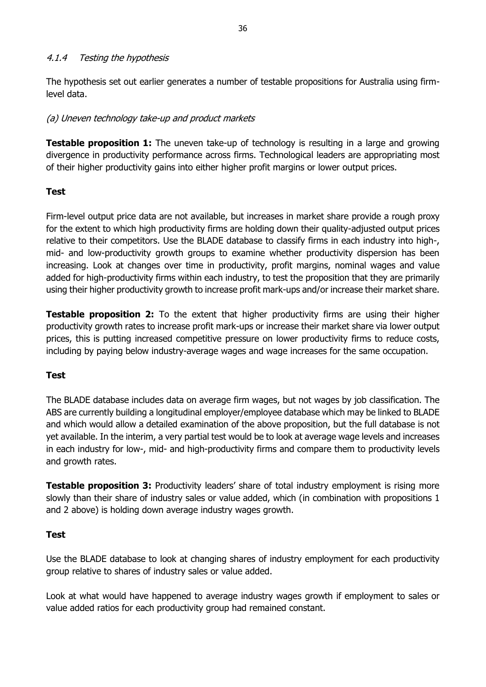#### <span id="page-41-0"></span>4.1.4 Testing the hypothesis

The hypothesis set out earlier generates a number of testable propositions for Australia using firmlevel data.

#### (a) Uneven technology take-up and product markets

**Testable proposition 1:** The uneven take-up of technology is resulting in a large and growing divergence in productivity performance across firms. Technological leaders are appropriating most of their higher productivity gains into either higher profit margins or lower output prices.

#### **Test**

Firm-level output price data are not available, but increases in market share provide a rough proxy for the extent to which high productivity firms are holding down their quality-adjusted output prices relative to their competitors. Use the BLADE database to classify firms in each industry into high-, mid- and low-productivity growth groups to examine whether productivity dispersion has been increasing. Look at changes over time in productivity, profit margins, nominal wages and value added for high-productivity firms within each industry, to test the proposition that they are primarily using their higher productivity growth to increase profit mark-ups and/or increase their market share.

**Testable proposition 2:** To the extent that higher productivity firms are using their higher productivity growth rates to increase profit mark-ups or increase their market share via lower output prices, this is putting increased competitive pressure on lower productivity firms to reduce costs, including by paying below industry-average wages and wage increases for the same occupation.

#### **Test**

The BLADE database includes data on average firm wages, but not wages by job classification. The ABS are currently building a longitudinal employer/employee database which may be linked to BLADE and which would allow a detailed examination of the above proposition, but the full database is not yet available. In the interim, a very partial test would be to look at average wage levels and increases in each industry for low-, mid- and high-productivity firms and compare them to productivity levels and growth rates.

**Testable proposition 3:** Productivity leaders' share of total industry employment is rising more slowly than their share of industry sales or value added, which (in combination with propositions 1 and 2 above) is holding down average industry wages growth.

#### **Test**

Use the BLADE database to look at changing shares of industry employment for each productivity group relative to shares of industry sales or value added.

Look at what would have happened to average industry wages growth if employment to sales or value added ratios for each productivity group had remained constant.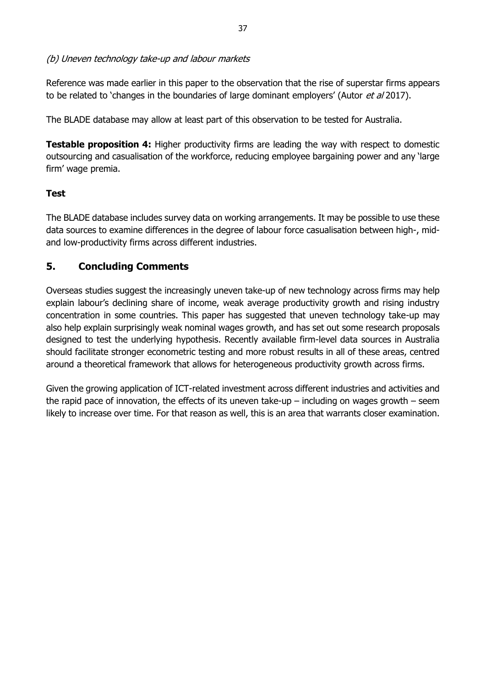#### (b) Uneven technology take-up and labour markets

Reference was made earlier in this paper to the observation that the rise of superstar firms appears to be related to 'changes in the boundaries of large dominant employers' (Autor *et al* 2017).

The BLADE database may allow at least part of this observation to be tested for Australia.

**Testable proposition 4:** Higher productivity firms are leading the way with respect to domestic outsourcing and casualisation of the workforce, reducing employee bargaining power and any 'large firm' wage premia.

#### **Test**

The BLADE database includes survey data on working arrangements. It may be possible to use these data sources to examine differences in the degree of labour force casualisation between high-, midand low-productivity firms across different industries.

## <span id="page-42-0"></span>**5. Concluding Comments**

Overseas studies suggest the increasingly uneven take-up of new technology across firms may help explain labour's declining share of income, weak average productivity growth and rising industry concentration in some countries. This paper has suggested that uneven technology take-up may also help explain surprisingly weak nominal wages growth, and has set out some research proposals designed to test the underlying hypothesis. Recently available firm-level data sources in Australia should facilitate stronger econometric testing and more robust results in all of these areas, centred around a theoretical framework that allows for heterogeneous productivity growth across firms.

Given the growing application of ICT-related investment across different industries and activities and the rapid pace of innovation, the effects of its uneven take-up – including on wages growth – seem likely to increase over time. For that reason as well, this is an area that warrants closer examination.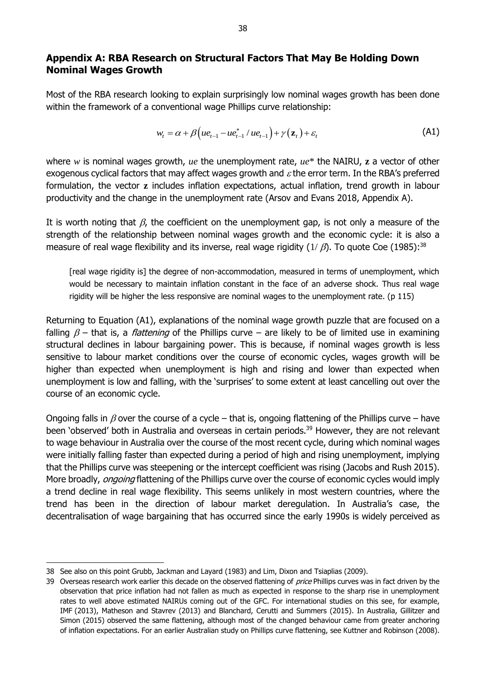## <span id="page-43-0"></span>**Appendix A: RBA Research on Structural Factors That May Be Holding Down Nominal Wages Growth**

Most of the RBA research looking to explain surprisingly low nominal wages growth has been done within the framework of a conventional wage Phillips curve relationship:

$$
w_t = \alpha + \beta \left( u e_{t-1} - u e_{t-1}^* / u e_{t-1} \right) + \gamma \left( \mathbf{z}_t \right) + \varepsilon_t \tag{A1}
$$

where *w* is nominal wages growth, *ue* the unemployment rate, *ue*\* the NAIRU, **z** a vector of other exogenous cyclical factors that may affect wages growth and  $\varepsilon$  the error term. In the RBA's preferred formulation, the vector **z** includes inflation expectations, actual inflation, trend growth in labour productivity and the change in the unemployment rate (Arsov and Evans 2018, Appendix A).

It is worth noting that  $\beta$ , the coefficient on the unemployment gap, is not only a measure of the strength of the relationship between nominal wages growth and the economic cycle: it is also a measure of real wage flexibility and its inverse, real wage rigidity ( $1/\beta$ ). To quote Coe (1985):<sup>38</sup>

[real wage rigidity is] the degree of non-accommodation, measured in terms of unemployment, which would be necessary to maintain inflation constant in the face of an adverse shock. Thus real wage rigidity will be higher the less responsive are nominal wages to the unemployment rate. (p 115)

Returning to Equation (A1), explanations of the nominal wage growth puzzle that are focused on a falling  $\beta$  – that is, a *flattening* of the Phillips curve – are likely to be of limited use in examining structural declines in labour bargaining power. This is because, if nominal wages growth is less sensitive to labour market conditions over the course of economic cycles, wages growth will be higher than expected when unemployment is high and rising and lower than expected when unemployment is low and falling, with the 'surprises' to some extent at least cancelling out over the course of an economic cycle.

Ongoing falls in  $\beta$  over the course of a cycle – that is, ongoing flattening of the Phillips curve – have been 'observed' both in Australia and overseas in certain periods.<sup>39</sup> However, they are not relevant to wage behaviour in Australia over the course of the most recent cycle, during which nominal wages were initially falling faster than expected during a period of high and rising unemployment, implying that the Phillips curve was steepening or the intercept coefficient was rising (Jacobs and Rush 2015). More broadly, *ongoing* flattening of the Phillips curve over the course of economic cycles would imply a trend decline in real wage flexibility. This seems unlikely in most western countries, where the trend has been in the direction of labour market deregulation. In Australia's case, the decentralisation of wage bargaining that has occurred since the early 1990s is widely perceived as

<sup>38</sup> See also on this point Grubb, Jackman and Layard (1983) and Lim, Dixon and Tsiaplias (2009).

<sup>39</sup> Overseas research work earlier this decade on the observed flattening of price Phillips curves was in fact driven by the observation that price inflation had not fallen as much as expected in response to the sharp rise in unemployment rates to well above estimated NAIRUs coming out of the GFC. For international studies on this see, for example, IMF (2013), Matheson and Stavrev (2013) and Blanchard, Cerutti and Summers (2015). In Australia, Gillitzer and Simon (2015) observed the same flattening, although most of the changed behaviour came from greater anchoring of inflation expectations. For an earlier Australian study on Phillips curve flattening, see Kuttner and Robinson (2008).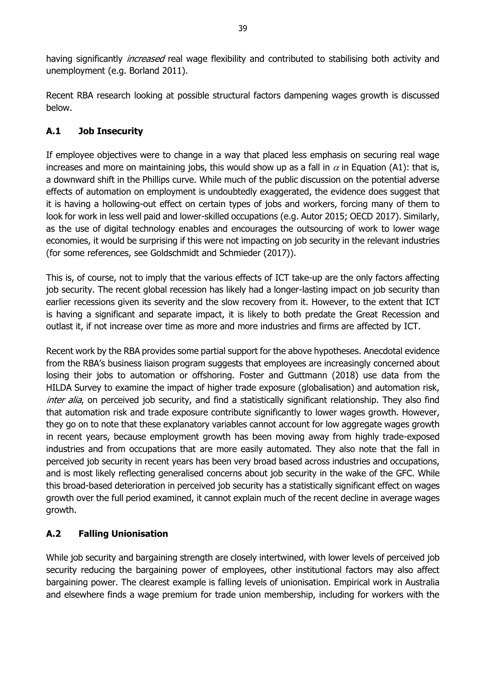having significantly *increased* real wage flexibility and contributed to stabilising both activity and unemployment (e.g. Borland 2011).

Recent RBA research looking at possible structural factors dampening wages growth is discussed below.

## **A.1 Job Insecurity**

If employee objectives were to change in a way that placed less emphasis on securing real wage increases and more on maintaining jobs, this would show up as a fall in  $\alpha$  in Equation (A1): that is, a downward shift in the Phillips curve. While much of the public discussion on the potential adverse effects of automation on employment is undoubtedly exaggerated, the evidence does suggest that it is having a hollowing-out effect on certain types of jobs and workers, forcing many of them to look for work in less well paid and lower-skilled occupations (e.g. Autor 2015; OECD 2017). Similarly, as the use of digital technology enables and encourages the outsourcing of work to lower wage economies, it would be surprising if this were not impacting on job security in the relevant industries (for some references, see Goldschmidt and Schmieder (2017)).

This is, of course, not to imply that the various effects of ICT take-up are the only factors affecting job security. The recent global recession has likely had a longer-lasting impact on job security than earlier recessions given its severity and the slow recovery from it. However, to the extent that ICT is having a significant and separate impact, it is likely to both predate the Great Recession and outlast it, if not increase over time as more and more industries and firms are affected by ICT.

Recent work by the RBA provides some partial support for the above hypotheses. Anecdotal evidence from the RBA's business liaison program suggests that employees are increasingly concerned about losing their jobs to automation or offshoring. Foster and Guttmann (2018) use data from the HILDA Survey to examine the impact of higher trade exposure (globalisation) and automation risk, inter alia, on perceived job security, and find a statistically significant relationship. They also find that automation risk and trade exposure contribute significantly to lower wages growth. However, they go on to note that these explanatory variables cannot account for low aggregate wages growth in recent years, because employment growth has been moving away from highly trade-exposed industries and from occupations that are more easily automated. They also note that the fall in perceived job security in recent years has been very broad based across industries and occupations, and is most likely reflecting generalised concerns about job security in the wake of the GFC. While this broad-based deterioration in perceived job security has a statistically significant effect on wages growth over the full period examined, it cannot explain much of the recent decline in average wages growth.

# **A.2 Falling Unionisation**

While job security and bargaining strength are closely intertwined, with lower levels of perceived job security reducing the bargaining power of employees, other institutional factors may also affect bargaining power. The clearest example is falling levels of unionisation. Empirical work in Australia and elsewhere finds a wage premium for trade union membership, including for workers with the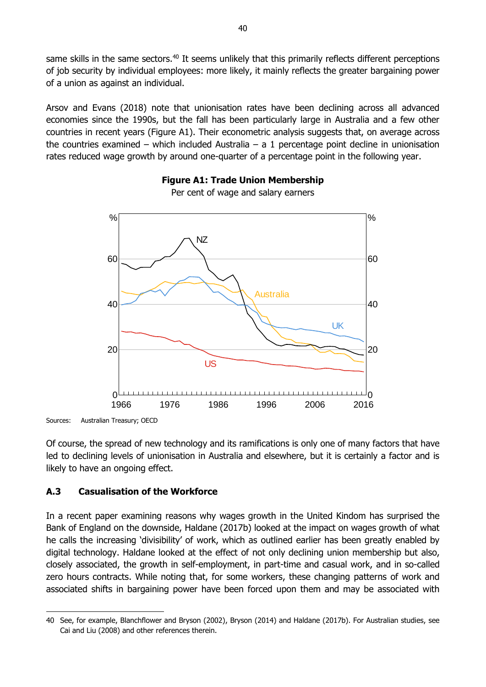same skills in the same sectors.<sup>40</sup> It seems unlikely that this primarily reflects different perceptions of job security by individual employees: more likely, it mainly reflects the greater bargaining power of a union as against an individual.

Arsov and Evans (2018) note that unionisation rates have been declining across all advanced economies since the 1990s, but the fall has been particularly large in Australia and a few other countries in recent years (Figure A1). Their econometric analysis suggests that, on average across the countries examined – which included Australia – a 1 percentage point decline in unionisation rates reduced wage growth by around one-quarter of a percentage point in the following year.

![](_page_45_Figure_2.jpeg)

#### **Figure A1: Trade Union Membership** Per cent of wage and salary earners

-

Of course, the spread of new technology and its ramifications is only one of many factors that have led to declining levels of unionisation in Australia and elsewhere, but it is certainly a factor and is likely to have an ongoing effect.

#### **A.3 Casualisation of the Workforce**

In a recent paper examining reasons why wages growth in the United Kindom has surprised the Bank of England on the downside, Haldane (2017b) looked at the impact on wages growth of what he calls the increasing 'divisibility' of work, which as outlined earlier has been greatly enabled by digital technology. Haldane looked at the effect of not only declining union membership but also, closely associated, the growth in self-employment, in part-time and casual work, and in so-called zero hours contracts. While noting that, for some workers, these changing patterns of work and associated shifts in bargaining power have been forced upon them and may be associated with

Sources: Australian Treasury; OECD

<sup>40</sup> See, for example, Blanchflower and Bryson (2002), Bryson (2014) and Haldane (2017b). For Australian studies, see Cai and Liu (2008) and other references therein.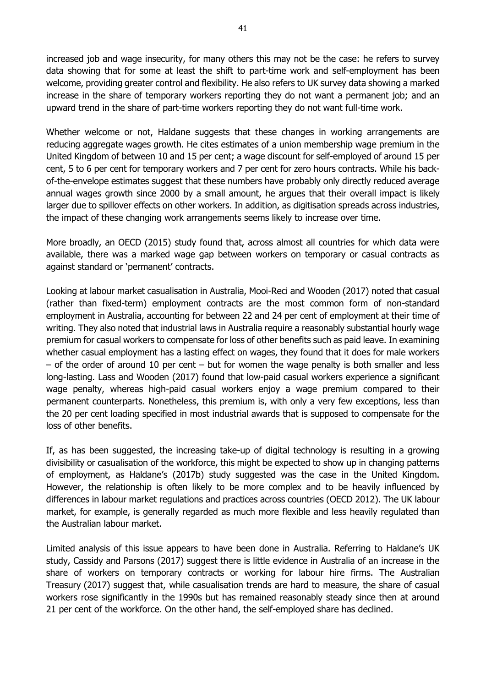increased job and wage insecurity, for many others this may not be the case: he refers to survey data showing that for some at least the shift to part-time work and self-employment has been welcome, providing greater control and flexibility. He also refers to UK survey data showing a marked increase in the share of temporary workers reporting they do not want a permanent job; and an upward trend in the share of part-time workers reporting they do not want full-time work.

Whether welcome or not, Haldane suggests that these changes in working arrangements are reducing aggregate wages growth. He cites estimates of a union membership wage premium in the United Kingdom of between 10 and 15 per cent; a wage discount for self-employed of around 15 per cent, 5 to 6 per cent for temporary workers and 7 per cent for zero hours contracts. While his backof-the-envelope estimates suggest that these numbers have probably only directly reduced average annual wages growth since 2000 by a small amount, he argues that their overall impact is likely larger due to spillover effects on other workers. In addition, as digitisation spreads across industries, the impact of these changing work arrangements seems likely to increase over time.

More broadly, an OECD (2015) study found that, across almost all countries for which data were available, there was a marked wage gap between workers on temporary or casual contracts as against standard or 'permanent' contracts.

Looking at labour market casualisation in Australia, Mooi-Reci and Wooden (2017) noted that casual (rather than fixed-term) employment contracts are the most common form of non-standard employment in Australia, accounting for between 22 and 24 per cent of employment at their time of writing. They also noted that industrial laws in Australia require a reasonably substantial hourly wage premium for casual workers to compensate for loss of other benefits such as paid leave. In examining whether casual employment has a lasting effect on wages, they found that it does for male workers  $-$  of the order of around 10 per cent  $-$  but for women the wage penalty is both smaller and less long-lasting. Lass and Wooden (2017) found that low-paid casual workers experience a significant wage penalty, whereas high-paid casual workers enjoy a wage premium compared to their permanent counterparts. Nonetheless, this premium is, with only a very few exceptions, less than the 20 per cent loading specified in most industrial awards that is supposed to compensate for the loss of other benefits.

If, as has been suggested, the increasing take-up of digital technology is resulting in a growing divisibility or casualisation of the workforce, this might be expected to show up in changing patterns of employment, as Haldane's (2017b) study suggested was the case in the United Kingdom. However, the relationship is often likely to be more complex and to be heavily influenced by differences in labour market regulations and practices across countries (OECD 2012). The UK labour market, for example, is generally regarded as much more flexible and less heavily regulated than the Australian labour market.

Limited analysis of this issue appears to have been done in Australia. Referring to Haldane's UK study, Cassidy and Parsons (2017) suggest there is little evidence in Australia of an increase in the share of workers on temporary contracts or working for labour hire firms. The Australian Treasury (2017) suggest that, while casualisation trends are hard to measure, the share of casual workers rose significantly in the 1990s but has remained reasonably steady since then at around 21 per cent of the workforce. On the other hand, the self-employed share has declined.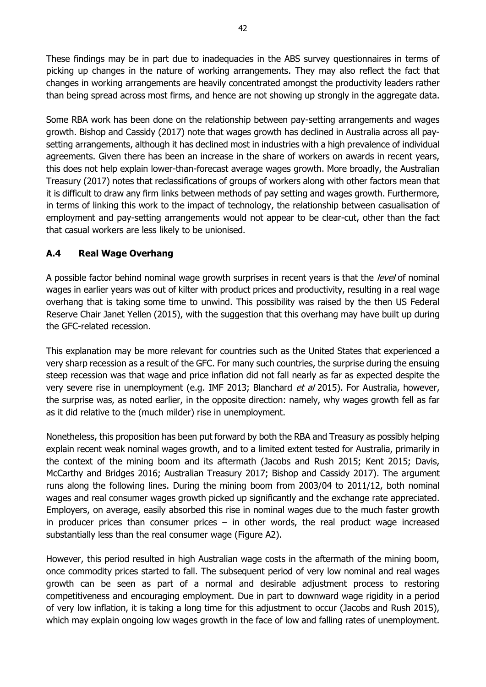These findings may be in part due to inadequacies in the ABS survey questionnaires in terms of picking up changes in the nature of working arrangements. They may also reflect the fact that changes in working arrangements are heavily concentrated amongst the productivity leaders rather than being spread across most firms, and hence are not showing up strongly in the aggregate data.

Some RBA work has been done on the relationship between pay-setting arrangements and wages growth. Bishop and Cassidy (2017) note that wages growth has declined in Australia across all paysetting arrangements, although it has declined most in industries with a high prevalence of individual agreements. Given there has been an increase in the share of workers on awards in recent years, this does not help explain lower-than-forecast average wages growth. More broadly, the Australian Treasury (2017) notes that reclassifications of groups of workers along with other factors mean that it is difficult to draw any firm links between methods of pay setting and wages growth. Furthermore, in terms of linking this work to the impact of technology, the relationship between casualisation of employment and pay-setting arrangements would not appear to be clear-cut, other than the fact that casual workers are less likely to be unionised.

## **A.4 Real Wage Overhang**

A possible factor behind nominal wage growth surprises in recent years is that the level of nominal wages in earlier years was out of kilter with product prices and productivity, resulting in a real wage overhang that is taking some time to unwind. This possibility was raised by the then US Federal Reserve Chair Janet Yellen (2015), with the suggestion that this overhang may have built up during the GFC-related recession.

This explanation may be more relevant for countries such as the United States that experienced a very sharp recession as a result of the GFC. For many such countries, the surprise during the ensuing steep recession was that wage and price inflation did not fall nearly as far as expected despite the very severe rise in unemployment (e.g. IMF 2013; Blanchard et al 2015). For Australia, however, the surprise was, as noted earlier, in the opposite direction: namely, why wages growth fell as far as it did relative to the (much milder) rise in unemployment.

Nonetheless, this proposition has been put forward by both the RBA and Treasury as possibly helping explain recent weak nominal wages growth, and to a limited extent tested for Australia, primarily in the context of the mining boom and its aftermath (Jacobs and Rush 2015; Kent 2015; Davis, McCarthy and Bridges 2016; Australian Treasury 2017; Bishop and Cassidy 2017). The argument runs along the following lines. During the mining boom from 2003/04 to 2011/12, both nominal wages and real consumer wages growth picked up significantly and the exchange rate appreciated. Employers, on average, easily absorbed this rise in nominal wages due to the much faster growth in producer prices than consumer prices  $-$  in other words, the real product wage increased substantially less than the real consumer wage (Figure A2).

However, this period resulted in high Australian wage costs in the aftermath of the mining boom, once commodity prices started to fall. The subsequent period of very low nominal and real wages growth can be seen as part of a normal and desirable adjustment process to restoring competitiveness and encouraging employment. Due in part to downward wage rigidity in a period of very low inflation, it is taking a long time for this adjustment to occur (Jacobs and Rush 2015), which may explain ongoing low wages growth in the face of low and falling rates of unemployment.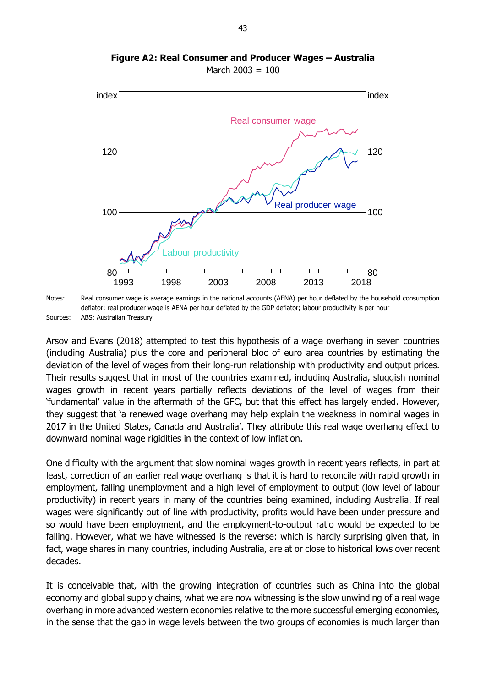![](_page_48_Figure_0.jpeg)

**Figure A2: Real Consumer and Producer Wages – Australia** March  $2003 = 100$ 

Notes: Real consumer wage is average earnings in the national accounts (AENA) per hour deflated by the household consumption deflator; real producer wage is AENA per hour deflated by the GDP deflator; labour productivity is per hour Sources: ABS; Australian Treasury

Arsov and Evans (2018) attempted to test this hypothesis of a wage overhang in seven countries (including Australia) plus the core and peripheral bloc of euro area countries by estimating the deviation of the level of wages from their long-run relationship with productivity and output prices. Their results suggest that in most of the countries examined, including Australia, sluggish nominal wages growth in recent years partially reflects deviations of the level of wages from their 'fundamental' value in the aftermath of the GFC, but that this effect has largely ended. However, they suggest that 'a renewed wage overhang may help explain the weakness in nominal wages in 2017 in the United States, Canada and Australia'. They attribute this real wage overhang effect to downward nominal wage rigidities in the context of low inflation.

One difficulty with the argument that slow nominal wages growth in recent years reflects, in part at least, correction of an earlier real wage overhang is that it is hard to reconcile with rapid growth in employment, falling unemployment and a high level of employment to output (low level of labour productivity) in recent years in many of the countries being examined, including Australia. If real wages were significantly out of line with productivity, profits would have been under pressure and so would have been employment, and the employment-to-output ratio would be expected to be falling. However, what we have witnessed is the reverse: which is hardly surprising given that, in fact, wage shares in many countries, including Australia, are at or close to historical lows over recent decades.

It is conceivable that, with the growing integration of countries such as China into the global economy and global supply chains, what we are now witnessing is the slow unwinding of a real wage overhang in more advanced western economies relative to the more successful emerging economies, in the sense that the gap in wage levels between the two groups of economies is much larger than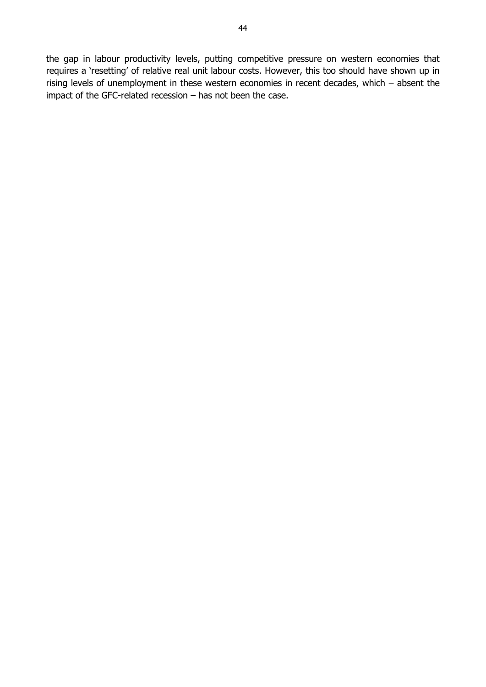the gap in labour productivity levels, putting competitive pressure on western economies that requires a 'resetting' of relative real unit labour costs. However, this too should have shown up in rising levels of unemployment in these western economies in recent decades, which – absent the impact of the GFC-related recession – has not been the case.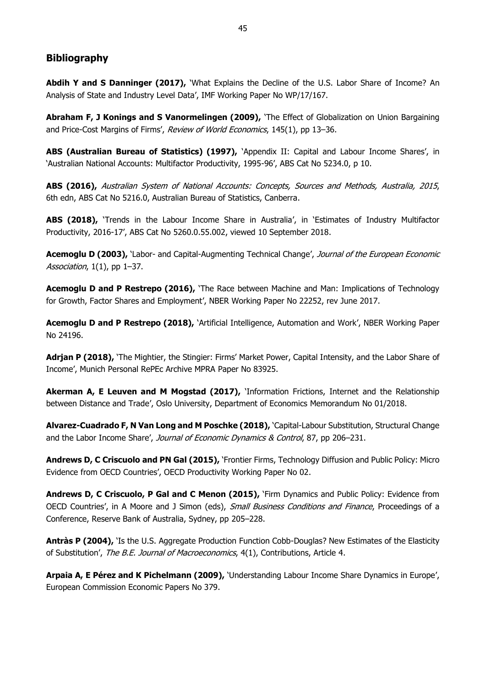#### <span id="page-50-0"></span>**Bibliography**

Abdih Y and S Danninger (2017), 'What Explains the Decline of the U.S. Labor Share of Income? An Analysis of State and Industry Level Data', IMF Working Paper No WP/17/167.

**Abraham F, J Konings and S Vanormelingen (2009),** 'The Effect of Globalization on Union Bargaining and Price-Cost Margins of Firms', Review of World Economics, 145(1), pp 13-36.

**ABS (Australian Bureau of Statistics) (1997),** 'Appendix II: Capital and Labour Income Shares', in 'Australian National Accounts: Multifactor Productivity, 1995-96', ABS Cat No 5234.0, p 10.

**ABS (2016),** Australian System of National Accounts: Concepts, Sources and Methods, Australia, 2015, 6th edn, ABS Cat No 5216.0, Australian Bureau of Statistics, Canberra.

**ABS (2018),** 'Trends in the Labour Income Share in Australia', in 'Estimates of Industry Multifactor Productivity, 2016-17', ABS Cat No 5260.0.55.002, viewed 10 September 2018.

**Acemoglu D (2003),** 'Labor- and Capital-Augmenting Technical Change', Journal of the European Economic Association,  $1(1)$ , pp 1-37.

**Acemoglu D and P Restrepo (2016),** 'The Race between Machine and Man: Implications of Technology for Growth, Factor Shares and Employment', NBER Working Paper No 22252, rev June 2017.

**Acemoglu D and P Restrepo (2018),** 'Artificial Intelligence, Automation and Work', NBER Working Paper No 24196.

**Adrjan P (2018),** 'The Mightier, the Stingier: Firms' Market Power, Capital Intensity, and the Labor Share of Income', Munich Personal RePEc Archive MPRA Paper No 83925.

**Akerman A, E Leuven and M Mogstad (2017),** 'Information Frictions, Internet and the Relationship between Distance and Trade', Oslo University, Department of Economics Memorandum No 01/2018.

**Alvarez-Cuadrado F, N Van Long and M Poschke (2018),** 'Capital-Labour Substitution, Structural Change and the Labor Income Share', Journal of Economic Dynamics & Control, 87, pp 206-231.

**Andrews D, C Criscuolo and PN Gal (2015),** 'Frontier Firms, Technology Diffusion and Public Policy: Micro Evidence from OECD Countries', OECD Productivity Working Paper No 02.

**Andrews D, C Criscuolo, P Gal and C Menon (2015),** 'Firm Dynamics and Public Policy: Evidence from OECD Countries', in A Moore and J Simon (eds), Small Business Conditions and Finance, Proceedings of a Conference, Reserve Bank of Australia, Sydney, pp 205–228.

Antràs P (2004), 'Is the U.S. Aggregate Production Function Cobb-Douglas? New Estimates of the Elasticity of Substitution', The B.E. Journal of Macroeconomics, 4(1), Contributions, Article 4.

**Arpaia A, E Pérez and K Pichelmann (2009),** 'Understanding Labour Income Share Dynamics in Europe', European Commission Economic Papers No 379.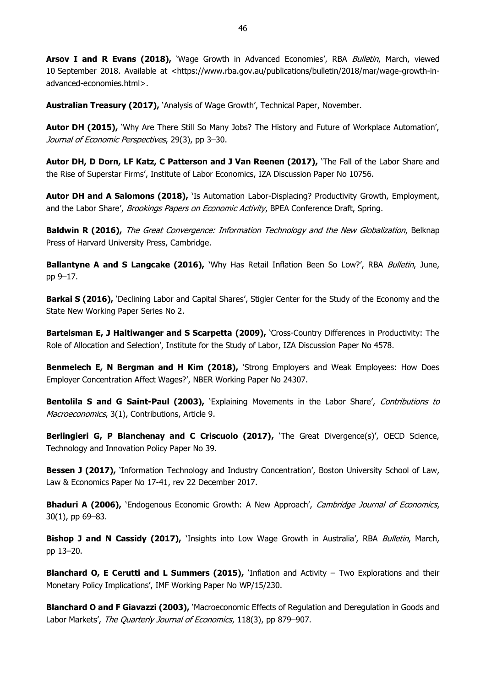Arsov I and R Evans (2018), 'Wage Growth in Advanced Economies', RBA Bulletin, March, viewed 10 September 2018. Available at <https://www.rba.gov.au/publications/bulletin/2018/mar/wage-growth-inadvanced-economies.html>.

**Australian Treasury (2017),** 'Analysis of Wage Growth', Technical Paper, November.

**Autor DH (2015),** 'Why Are There Still So Many Jobs? The History and Future of Workplace Automation', Journal of Economic Perspectives, 29(3), pp 3–30.

**Autor DH, D Dorn, LF Katz, C Patterson and J Van Reenen (2017),** 'The Fall of the Labor Share and the Rise of Superstar Firms', Institute of Labor Economics, IZA Discussion Paper No 10756.

**Autor DH and A Salomons (2018),** 'Is Automation Labor-Displacing? Productivity Growth, Employment, and the Labor Share', Brookings Papers on Economic Activity, BPEA Conference Draft, Spring.

**Baldwin R (2016),** The Great Convergence: Information Technology and the New Globalization, Belknap Press of Harvard University Press, Cambridge.

**Ballantyne A and S Langcake (2016),** 'Why Has Retail Inflation Been So Low?', RBA Bulletin, June, pp 9–17.

**Barkai S (2016),** 'Declining Labor and Capital Shares', Stigler Center for the Study of the Economy and the State New Working Paper Series No 2.

**Bartelsman E, J Haltiwanger and S Scarpetta (2009),** 'Cross-Country Differences in Productivity: The Role of Allocation and Selection', Institute for the Study of Labor, IZA Discussion Paper No 4578.

**Benmelech E, N Bergman and H Kim (2018),** 'Strong Employers and Weak Employees: How Does Employer Concentration Affect Wages?', NBER Working Paper No 24307.

**Bentolila S and G Saint-Paul (2003), 'Explaining Movements in the Labor Share', Contributions to** Macroeconomics, 3(1), Contributions, Article 9.

**Berlingieri G, P Blanchenay and C Criscuolo (2017),** 'The Great Divergence(s)', OECD Science, Technology and Innovation Policy Paper No 39.

**Bessen J (2017),** 'Information Technology and Industry Concentration', Boston University School of Law, Law & Economics Paper No 17-41, rev 22 December 2017.

**Bhaduri A (2006),** 'Endogenous Economic Growth: A New Approach', Cambridge Journal of Economics, 30(1), pp 69–83.

**Bishop J and N Cassidy (2017),** 'Insights into Low Wage Growth in Australia', RBA *Bulletin*, March, pp 13–20.

**Blanchard O, E Cerutti and L Summers (2015),** 'Inflation and Activity – Two Explorations and their Monetary Policy Implications', IMF Working Paper No WP/15/230.

**Blanchard O and F Giavazzi (2003),** 'Macroeconomic Effects of Regulation and Deregulation in Goods and Labor Markets', The Quarterly Journal of Economics, 118(3), pp 879-907.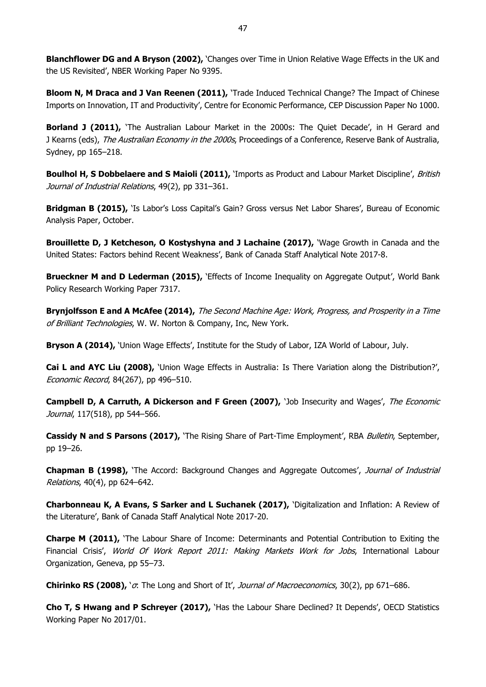**Blanchflower DG and A Bryson (2002),** 'Changes over Time in Union Relative Wage Effects in the UK and the US Revisited', NBER Working Paper No 9395.

**Bloom N, M Draca and J Van Reenen (2011),** 'Trade Induced Technical Change? The Impact of Chinese Imports on Innovation, IT and Productivity', Centre for Economic Performance, CEP Discussion Paper No 1000.

**Borland J (2011),** 'The Australian Labour Market in the 2000s: The Quiet Decade', in H Gerard and J Kearns (eds), *The Australian Economy in the 2000s*, Proceedings of a Conference, Reserve Bank of Australia, Sydney, pp 165–218.

**Boulhol H, S Dobbelaere and S Maioli (2011),** *'Imports as Product and Labour Market Discipline', British* Journal of Industrial Relations, 49(2), pp 331–361.

**Bridgman B (2015),** 'Is Labor's Loss Capital's Gain? Gross versus Net Labor Shares', Bureau of Economic Analysis Paper, October.

**Brouillette D, J Ketcheson, O Kostyshyna and J Lachaine (2017),** 'Wage Growth in Canada and the United States: Factors behind Recent Weakness', Bank of Canada Staff Analytical Note 2017-8.

**Brueckner M and D Lederman (2015),** 'Effects of Income Inequality on Aggregate Output', World Bank Policy Research Working Paper 7317.

**Brynjolfsson E and A McAfee (2014),** The Second Machine Age: Work, Progress, and Prosperity in a Time of Brilliant Technologies, W. W. Norton & Company, Inc, New York.

**Bryson A (2014),** 'Union Wage Effects', Institute for the Study of Labor, IZA World of Labour, July.

**Cai L and AYC Liu (2008),** 'Union Wage Effects in Australia: Is There Variation along the Distribution?', Economic Record, 84(267), pp 496–510.

**Campbell D, A Carruth, A Dickerson and F Green (2007), 'Job Insecurity and Wages', The Economic** Journal, 117(518), pp 544-566.

**Cassidy N and S Parsons (2017),** 'The Rising Share of Part-Time Employment', RBA Bulletin, September, pp 19–26.

**Chapman B (1998),** 'The Accord: Background Changes and Aggregate Outcomes', Journal of Industrial Relations, 40(4), pp 624–642.

**Charbonneau K, A Evans, S Sarker and L Suchanek (2017),** 'Digitalization and Inflation: A Review of the Literature', Bank of Canada Staff Analytical Note 2017-20.

**Charpe M (2011),** 'The Labour Share of Income: Determinants and Potential Contribution to Exiting the Financial Crisis', World Of Work Report 2011: Making Markets Work for Jobs, International Labour Organization, Geneva, pp 55–73.

**Chirinko RS (2008),** 'σ: The Long and Short of It', Journal of Macroeconomics, 30(2), pp 671–686.

**Cho T, S Hwang and P Schreyer (2017),** 'Has the Labour Share Declined? It Depends', OECD Statistics Working Paper No 2017/01.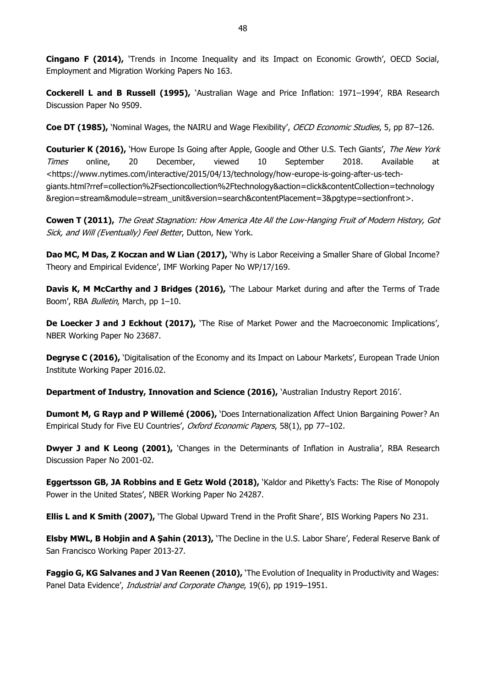**Cingano F (2014),** 'Trends in Income Inequality and its Impact on Economic Growth', OECD Social, Employment and Migration Working Papers No 163.

**Cockerell L and B Russell (1995),** 'Australian Wage and Price Inflation: 1971–1994', RBA Research Discussion Paper No 9509.

**Coe DT (1985),** 'Nominal Wages, the NAIRU and Wage Flexibility', OECD Economic Studies, 5, pp 87–126.

**Couturier K (2016),** 'How Europe Is Going after Apple, Google and Other U.S. Tech Giants', The New York Times online, 20 December, viewed 10 September 2018. Available at <https://www.nytimes.com/interactive/2015/04/13/technology/how-europe-is-going-after-us-techgiants.html?rref=collection%2Fsectioncollection%2Ftechnology&action=click&contentCollection=technology &region=stream&module=stream\_unit&version=search&contentPlacement=3&pgtype=sectionfront>.

**Cowen T (2011),** The Great Stagnation: How America Ate All the Low-Hanging Fruit of Modern History, Got Sick, and Will (Eventually) Feel Better, Dutton, New York.

**Dao MC, M Das, Z Koczan and W Lian (2017),** 'Why is Labor Receiving a Smaller Share of Global Income? Theory and Empirical Evidence', IMF Working Paper No WP/17/169.

**Davis K, M McCarthy and J Bridges (2016),** 'The Labour Market during and after the Terms of Trade Boom', RBA Bulletin, March, pp 1-10.

**De Loecker J and J Eckhout (2017),** 'The Rise of Market Power and the Macroeconomic Implications', NBER Working Paper No 23687.

**Degryse C (2016), '**Digitalisation of the Economy and its Impact on Labour Markets', European Trade Union Institute Working Paper 2016.02.

**Department of Industry, Innovation and Science (2016),** 'Australian Industry Report 2016'.

**Dumont M, G Rayp and P Willemé (2006),** 'Does Internationalization Affect Union Bargaining Power? An Empirical Study for Five EU Countries', Oxford Economic Papers, 58(1), pp 77-102.

**Dwyer J and K Leong (2001),** `Changes in the Determinants of Inflation in Australia', RBA Research Discussion Paper No 2001-02.

**Eggertsson GB, JA Robbins and E Getz Wold (2018),** 'Kaldor and Piketty's Facts: The Rise of Monopoly Power in the United States', NBER Working Paper No 24287.

**Ellis L and K Smith (2007),** 'The Global Upward Trend in the Profit Share', BIS Working Papers No 231.

**Elsby MWL, B Hobjin and A Şahin (2013),** 'The Decline in the U.S. Labor Share', Federal Reserve Bank of San Francisco Working Paper 2013-27.

**Faggio G, KG Salvanes and J Van Reenen (2010),** 'The Evolution of Inequality in Productivity and Wages: Panel Data Evidence', Industrial and Corporate Change, 19(6), pp 1919-1951.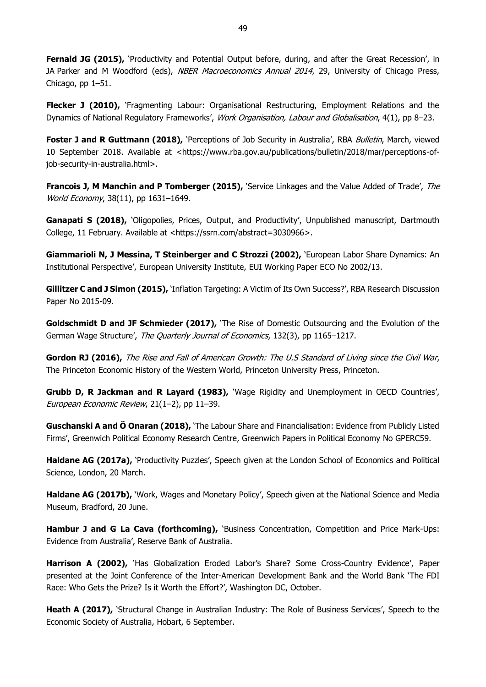**Fernald JG (2015),** 'Productivity and Potential Output before, during, and after the Great Recession', in JA Parker and M Woodford (eds), NBER Macroeconomics Annual 2014, 29, University of Chicago Press, Chicago, pp 1–51.

**Flecker J (2010),** 'Fragmenting Labour: Organisational Restructuring, Employment Relations and the Dynamics of National Regulatory Frameworks', Work Organisation, Labour and Globalisation, 4(1), pp 8–23.

**Foster J and R Guttmann (2018),** 'Perceptions of Job Security in Australia', RBA *Bulletin*, March, viewed 10 September 2018. Available at <https://www.rba.gov.au/publications/bulletin/2018/mar/perceptions-ofjob-security-in-australia.html>.

**Francois J, M Manchin and P Tomberger (2015),** 'Service Linkages and the Value Added of Trade', The World Economy, 38(11), pp 1631–1649.

Ganapati S (2018), `Oligopolies, Prices, Output, and Productivity', Unpublished manuscript, Dartmouth College, 11 February. Available at <https://ssrn.com/abstract=3030966>.

**Giammarioli N, J Messina, T Steinberger and C Strozzi (2002),** 'European Labor Share Dynamics: An Institutional Perspective', European University Institute, EUI Working Paper ECO No 2002/13.

**Gillitzer C and J Simon (2015),** 'Inflation Targeting: A Victim of Its Own Success?', RBA Research Discussion Paper No 2015-09.

**Goldschmidt D and JF Schmieder (2017),** 'The Rise of Domestic Outsourcing and the Evolution of the German Wage Structure', The Quarterly Journal of Economics, 132(3), pp 1165-1217.

**Gordon RJ (2016),** The Rise and Fall of American Growth: The U.S Standard of Living since the Civil War, The Princeton Economic History of the Western World, Princeton University Press, Princeton.

**Grubb D, R Jackman and R Layard (1983),** 'Wage Rigidity and Unemployment in OECD Countries', European Economic Review, 21(1–2), pp 11–39.

**Guschanski A and Ö Onaran (2018),** 'The Labour Share and Financialisation: Evidence from Publicly Listed Firms', Greenwich Political Economy Research Centre, Greenwich Papers in Political Economy No GPERC59.

**Haldane AG (2017a),** 'Productivity Puzzles', Speech given at the London School of Economics and Political Science, London, 20 March.

**Haldane AG (2017b),** 'Work, Wages and Monetary Policy', Speech given at the National Science and Media Museum, Bradford, 20 June.

**Hambur J and G La Cava (forthcoming),** 'Business Concentration, Competition and Price Mark-Ups: Evidence from Australia', Reserve Bank of Australia.

Harrison A (2002), 'Has Globalization Eroded Labor's Share? Some Cross-Country Evidence', Paper presented at the Joint Conference of the Inter-American Development Bank and the World Bank 'The FDI Race: Who Gets the Prize? Is it Worth the Effort?', Washington DC, October.

**Heath A (2017),** 'Structural Change in Australian Industry: The Role of Business Services', Speech to the Economic Society of Australia, Hobart, 6 September.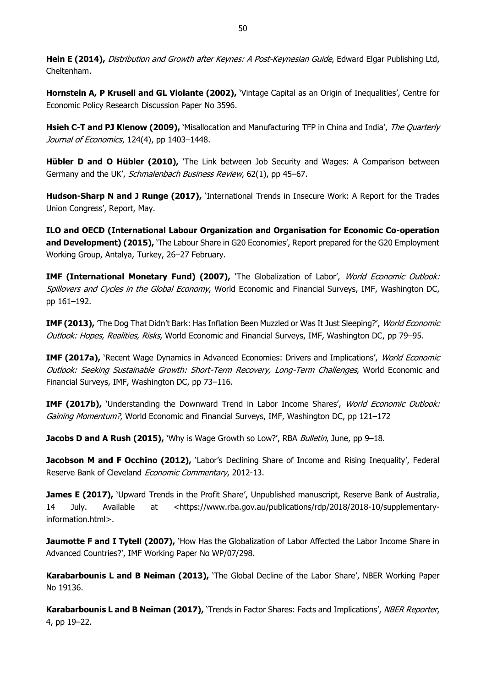**Hein E (2014),** Distribution and Growth after Keynes: A Post-Keynesian Guide, Edward Elgar Publishing Ltd, Cheltenham.

**Hornstein A, P Krusell and GL Violante (2002),** 'Vintage Capital as an Origin of Inequalities', Centre for Economic Policy Research Discussion Paper No 3596.

**Hsieh C-T and PJ Klenow (2009),** 'Misallocation and Manufacturing TFP in China and India', The Quarterly Journal of Economics, 124(4), pp 1403-1448.

**Hübler D and O Hübler (2010),** 'The Link between Job Security and Wages: A Comparison between Germany and the UK', Schmalenbach Business Review, 62(1), pp 45-67.

Hudson-Sharp N and J Runge (2017), 'International Trends in Insecure Work: A Report for the Trades Union Congress', Report, May.

**ILO and OECD (International Labour Organization and Organisation for Economic Co-operation and Development) (2015),** 'The Labour Share in G20 Economies', Report prepared for the G20 Employment Working Group, Antalya, Turkey, 26–27 February.

**IMF (International Monetary Fund) (2007),** 'The Globalization of Labor', World Economic Outlook: Spillovers and Cycles in the Global Economy, World Economic and Financial Surveys, IMF, Washington DC, pp 161–192.

**IMF (2013),** 'The Dog That Didn't Bark: Has Inflation Been Muzzled or Was It Just Sleeping?', *World Economic* Outlook: Hopes, Realities, Risks, World Economic and Financial Surveys, IMF, Washington DC, pp 79–95.

**IMF (2017a),** 'Recent Wage Dynamics in Advanced Economies: Drivers and Implications', World Economic Outlook: Seeking Sustainable Growth: Short-Term Recovery, Long-Term Challenges, World Economic and Financial Surveys, IMF, Washington DC, pp 73–116.

**IMF (2017b),** 'Understanding the Downward Trend in Labor Income Shares', World Economic Outlook: Gaining Momentum?, World Economic and Financial Surveys, IMF, Washington DC, pp 121-172

**Jacobs D and A Rush (2015),** 'Why is Wage Growth so Low?', RBA *Bulletin*, June, pp 9–18.

**Jacobson M and F Occhino (2012),** 'Labor's Declining Share of Income and Rising Inequality', Federal Reserve Bank of Cleveland Economic Commentary, 2012-13.

**James E (2017),** 'Upward Trends in the Profit Share', Unpublished manuscript, Reserve Bank of Australia, 14 July. Available at <https://www.rba.gov.au/publications/rdp/2018/2018-10/supplementaryinformation.html>.

**Jaumotte F and I Tytell (2007),** 'How Has the Globalization of Labor Affected the Labor Income Share in Advanced Countries?', IMF Working Paper No WP/07/298.

**Karabarbounis L and B Neiman (2013),** 'The Global Decline of the Labor Share', NBER Working Paper No 19136.

Karabarbounis L and B Neiman (2017), 'Trends in Factor Shares: Facts and Implications', NBER Reporter, 4, pp 19–22.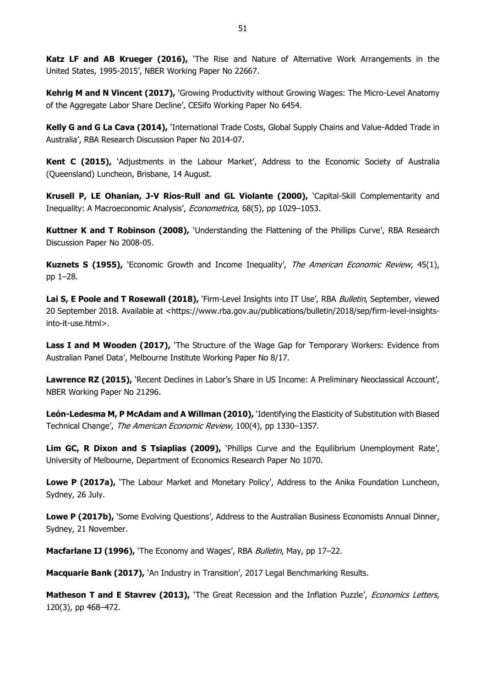**Katz LF and AB Krueger (2016),** 'The Rise and Nature of Alternative Work Arrangements in the United States, 1995-2015', NBER Working Paper No 22667.

**Kehrig M and N Vincent (2017),** 'Growing Productivity without Growing Wages: The Micro-Level Anatomy of the Aggregate Labor Share Decline', CESifo Working Paper No 6454.

**Kelly G and G La Cava (2014),** 'International Trade Costs, Global Supply Chains and Value-Added Trade in Australia', RBA Research Discussion Paper No 2014-07.

**Kent C (2015),** 'Adjustments in the Labour Market', Address to the Economic Society of Australia (Queensland) Luncheon, Brisbane, 14 August.

**Krusell P, LE Ohanian, J-V Ríos-Rull and GL Violante (2000),** 'Capital-Skill Complementarity and Inequality: A Macroeconomic Analysis', Econometrica, 68(5), pp 1029-1053.

**Kuttner K and T Robinson (2008),** 'Understanding the Flattening of the Phillips Curve', RBA Research Discussion Paper No 2008-05.

Kuznets S (1955), 'Economic Growth and Income Inequality', The American Economic Review, 45(1), pp 1–28.

Lai S, E Poole and T Rosewall (2018), 'Firm-Level Insights into IT Use', RBA Bulletin, September, viewed 20 September 2018. Available at <https://www.rba.gov.au/publications/bulletin/2018/sep/firm-level-insightsinto-it-use.html>.

**Lass I and M Wooden (2017),** 'The Structure of the Wage Gap for Temporary Workers: Evidence from Australian Panel Data', Melbourne Institute Working Paper No 8/17.

**Lawrence RZ (2015),** 'Recent Declines in Labor's Share in US Income: A Preliminary Neoclassical Account', NBER Working Paper No 21296.

**León-Ledesma M, P McAdam and A Willman (2010),** 'Identifying the Elasticity of Substitution with Biased Technical Change', The American Economic Review, 100(4), pp 1330–1357.

**Lim GC, R Dixon and S Tsiaplias (2009),** 'Phillips Curve and the Equilibrium Unemployment Rate', University of Melbourne, Department of Economics Research Paper No 1070.

**Lowe P (2017a),** 'The Labour Market and Monetary Policy', Address to the Anika Foundation Luncheon, Sydney, 26 July.

**Lowe P (2017b),** 'Some Evolving Questions', Address to the Australian Business Economists Annual Dinner, Sydney, 21 November.

**Macfarlane IJ (1996),** 'The Economy and Wages', RBA Bulletin, May, pp 17–22.

**Macquarie Bank (2017),** 'An Industry in Transition', 2017 Legal Benchmarking Results.

Matheson T and E Stavrev (2013), 'The Great Recession and the Inflation Puzzle', Economics Letters, 120(3), pp 468–472.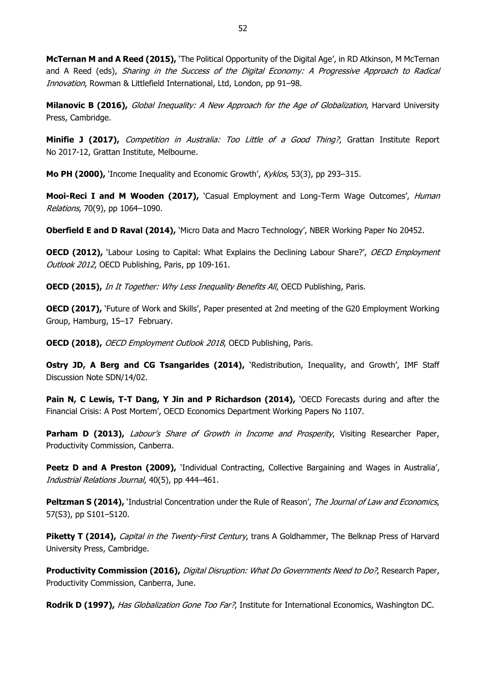**McTernan M and A Reed (2015),** 'The Political Opportunity of the Digital Age', in RD Atkinson, M McTernan and A Reed (eds), Sharing in the Success of the Digital Economy: A Progressive Approach to Radical Innovation, Rowman & Littlefield International, Ltd, London, pp 91–98.

**Milanovic B (2016),** Global Inequality: A New Approach for the Age of Globalization, Harvard University Press, Cambridge.

**Minifie J (2017),** Competition in Australia: Too Little of a Good Thing?, Grattan Institute Report No 2017-12, Grattan Institute, Melbourne.

**Mo PH (2000),** 'Income Inequality and Economic Growth', Kyklos, 53(3), pp 293–315.

**Mooi-Reci I and M Wooden (2017),** 'Casual Employment and Long-Term Wage Outcomes', *Human* Relations, 70(9), pp 1064–1090.

**Oberfield E and D Raval (2014),** 'Micro Data and Macro Technology', NBER Working Paper No 20452.

**OECD (2012),** 'Labour Losing to Capital: What Explains the Declining Labour Share?', *OECD Employment* Outlook 2012, OECD Publishing, Paris, pp 109-161.

**OECD (2015),** In It Together: Why Less Inequality Benefits All, OECD Publishing, Paris.

**OECD (2017), 'Future of Work and Skills', Paper presented at 2nd meeting of the G20 Employment Working** Group, Hamburg, 15–17 February.

**OECD (2018),** OECD Employment Outlook 2018, OECD Publishing, Paris.

**Ostry JD, A Berg and CG Tsangarides (2014),** 'Redistribution, Inequality, and Growth', IMF Staff Discussion Note SDN/14/02.

**Pain N, C Lewis, T-T Dang, Y Jin and P Richardson (2014), 'OECD Forecasts during and after the** Financial Crisis: A Post Mortem', OECD Economics Department Working Papers No 1107.

**Parham D (2013),** Labour's Share of Growth in Income and Prosperity, Visiting Researcher Paper, Productivity Commission, Canberra.

Peetz D and A Preston (2009), 'Individual Contracting, Collective Bargaining and Wages in Australia', Industrial Relations Journal, 40(5), pp 444–461.

Peltzman S (2014), 'Industrial Concentration under the Rule of Reason', The Journal of Law and Economics, 57(S3), pp S101–S120.

Piketty T (2014), *Capital in the Twenty-First Century*, trans A Goldhammer, The Belknap Press of Harvard University Press, Cambridge.

**Productivity Commission (2016),** Digital Disruption: What Do Governments Need to Do?, Research Paper, Productivity Commission, Canberra, June.

**Rodrik D (1997),** Has Globalization Gone Too Far?, Institute for International Economics, Washington DC.